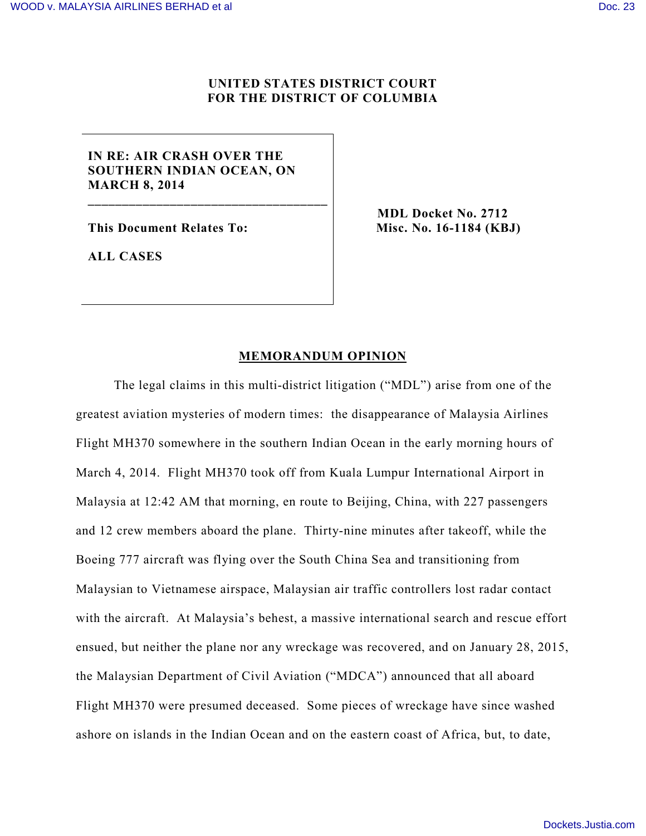## **UNITED STATES DISTRICT COURT FOR THE DISTRICT OF COLUMBIA**

# **IN RE: AIR CRASH OVER THE SOUTHERN INDIAN OCEAN, ON MARCH 8, 2014**

**\_\_\_\_\_\_\_\_\_\_\_\_\_\_\_\_\_\_\_\_\_\_\_\_\_\_\_\_\_\_\_\_\_\_\_**

**This Document Relates To:**

**MDL Docket No. 2712 Misc. No. 16-1184 (KBJ)**

**ALL CASES**

### **MEMORANDUM OPINION**

The legal claims in this multi-district litigation ("MDL") arise from one of the greatest aviation mysteries of modern times: the disappearance of Malaysia Airlines Flight MH370 somewhere in the southern Indian Ocean in the early morning hours of March 4, 2014. Flight MH370 took off from Kuala Lumpur International Airport in Malaysia at 12:42 AM that morning, en route to Beijing, China, with 227 passengers and 12 crew members aboard the plane. Thirty-nine minutes after takeoff, while the Boeing 777 aircraft was flying over the South China Sea and transitioning from Malaysian to Vietnamese airspace, Malaysian air traffic controllers lost radar contact with the aircraft. At Malaysia's behest, a massive international search and rescue effort ensued, but neither the plane nor any wreckage was recovered, and on January 28, 2015, the Malaysian Department of Civil Aviation ("MDCA") announced that all aboard Flight MH370 were presumed deceased. Some pieces of wreckage have since washed ashore on islands in the Indian Ocean and on the eastern coast of Africa, but, to date,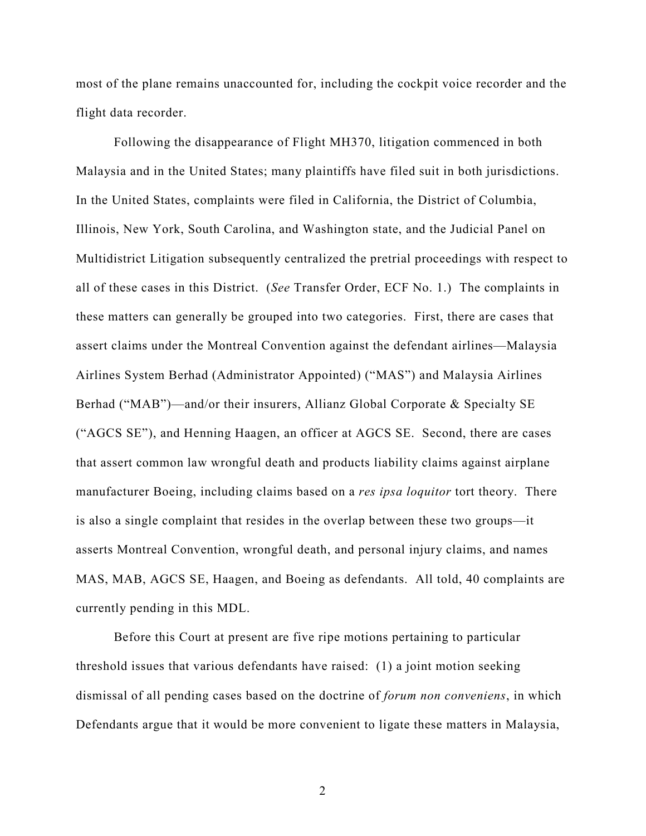most of the plane remains unaccounted for, including the cockpit voice recorder and the flight data recorder.

Following the disappearance of Flight MH370, litigation commenced in both Malaysia and in the United States; many plaintiffs have filed suit in both jurisdictions. In the United States, complaints were filed in California, the District of Columbia, Illinois, New York, South Carolina, and Washington state, and the Judicial Panel on Multidistrict Litigation subsequently centralized the pretrial proceedings with respect to all of these cases in this District. (*See* Transfer Order, ECF No. 1.) The complaints in these matters can generally be grouped into two categories. First, there are cases that assert claims under the Montreal Convention against the defendant airlines—Malaysia Airlines System Berhad (Administrator Appointed) ("MAS") and Malaysia Airlines Berhad ("MAB")—and/or their insurers, Allianz Global Corporate & Specialty SE ("AGCS SE"), and Henning Haagen, an officer at AGCS SE. Second, there are cases that assert common law wrongful death and products liability claims against airplane manufacturer Boeing, including claims based on a *res ipsa loquitor* tort theory. There is also a single complaint that resides in the overlap between these two groups—it asserts Montreal Convention, wrongful death, and personal injury claims, and names MAS, MAB, AGCS SE, Haagen, and Boeing as defendants. All told, 40 complaints are currently pending in this MDL.

Before this Court at present are five ripe motions pertaining to particular threshold issues that various defendants have raised: (1) a joint motion seeking dismissal of all pending cases based on the doctrine of *forum non conveniens*, in which Defendants argue that it would be more convenient to ligate these matters in Malaysia,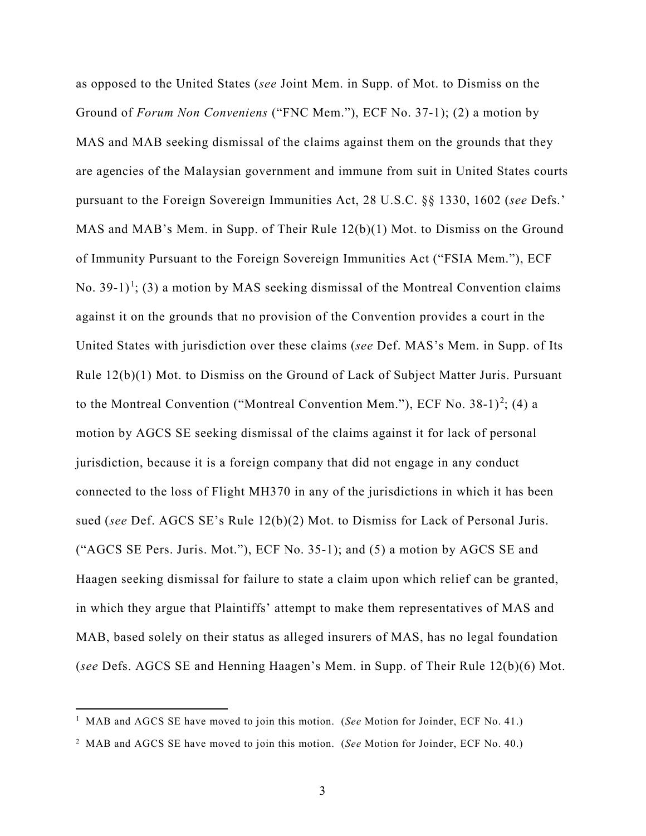as opposed to the United States (*see* Joint Mem. in Supp. of Mot. to Dismiss on the Ground of *Forum Non Conveniens* ("FNC Mem."), ECF No. 37-1); (2) a motion by MAS and MAB seeking dismissal of the claims against them on the grounds that they are agencies of the Malaysian government and immune from suit in United States courts pursuant to the Foreign Sovereign Immunities Act, 28 U.S.C. §§ 1330, 1602 (*see* Defs.' MAS and MAB's Mem. in Supp. of Their Rule 12(b)(1) Mot. to Dismiss on the Ground of Immunity Pursuant to the Foreign Sovereign Immunities Act ("FSIA Mem."), ECF No. 39-[1](#page-2-0))<sup>1</sup>; (3) a motion by MAS seeking dismissal of the Montreal Convention claims against it on the grounds that no provision of the Convention provides a court in the United States with jurisdiction over these claims (*see* Def. MAS's Mem. in Supp. of Its Rule 12(b)(1) Mot. to Dismiss on the Ground of Lack of Subject Matter Juris. Pursuant to the Montreal Convention ("Montreal Convention Mem."), ECF No. 38-1)<sup>[2](#page-2-1)</sup>; (4) a motion by AGCS SE seeking dismissal of the claims against it for lack of personal jurisdiction, because it is a foreign company that did not engage in any conduct connected to the loss of Flight MH370 in any of the jurisdictions in which it has been sued (*see* Def. AGCS SE's Rule 12(b)(2) Mot. to Dismiss for Lack of Personal Juris. ("AGCS SE Pers. Juris. Mot."), ECF No. 35-1); and (5) a motion by AGCS SE and Haagen seeking dismissal for failure to state a claim upon which relief can be granted, in which they argue that Plaintiffs' attempt to make them representatives of MAS and MAB, based solely on their status as alleged insurers of MAS, has no legal foundation (*see* Defs. AGCS SE and Henning Haagen's Mem. in Supp. of Their Rule 12(b)(6) Mot.

<u>.</u>

<span id="page-2-0"></span><sup>&</sup>lt;sup>1</sup> MAB and AGCS SE have moved to join this motion. (See Motion for Joinder, ECF No. 41.)

<span id="page-2-1"></span><sup>2</sup> MAB and AGCS SE have moved to join this motion. (*See* Motion for Joinder, ECF No. 40.)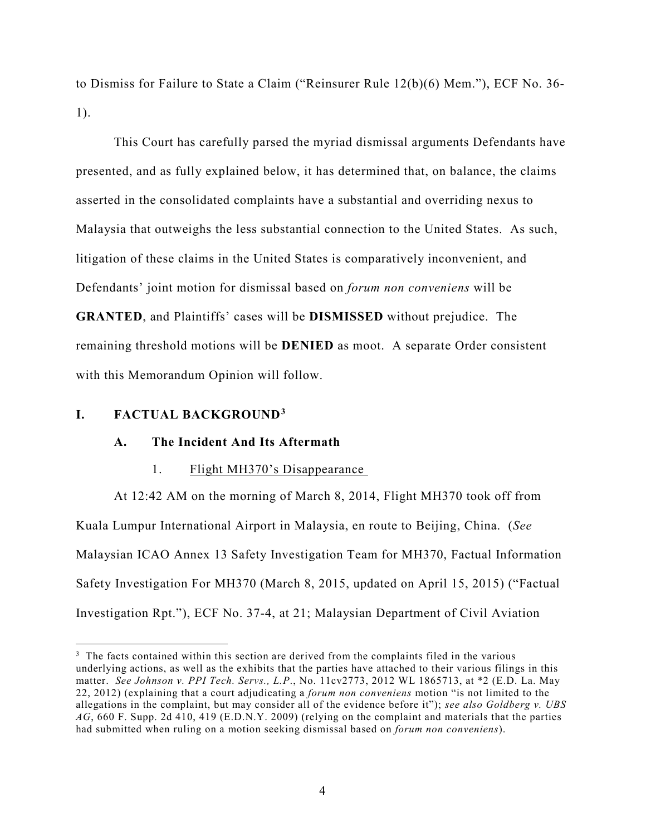to Dismiss for Failure to State a Claim ("Reinsurer Rule 12(b)(6) Mem."), ECF No. 36- 1).

This Court has carefully parsed the myriad dismissal arguments Defendants have presented, and as fully explained below, it has determined that, on balance, the claims asserted in the consolidated complaints have a substantial and overriding nexus to Malaysia that outweighs the less substantial connection to the United States. As such, litigation of these claims in the United States is comparatively inconvenient, and Defendants' joint motion for dismissal based on *forum non conveniens* will be **GRANTED**, and Plaintiffs' cases will be **DISMISSED** without prejudice. The remaining threshold motions will be **DENIED** as moot. A separate Order consistent with this Memorandum Opinion will follow.

# **I. FACTUAL BACKGROUND[3](#page-3-0)**

 $\overline{a}$ 

# **A. The Incident And Its Aftermath**

#### 1. Flight MH370's Disappearance

At 12:42 AM on the morning of March 8, 2014, Flight MH370 took off from Kuala Lumpur International Airport in Malaysia, en route to Beijing, China. (*See*  Malaysian ICAO Annex 13 Safety Investigation Team for MH370, Factual Information Safety Investigation For MH370 (March 8, 2015, updated on April 15, 2015) ("Factual Investigation Rpt."), ECF No. 37-4, at 21; Malaysian Department of Civil Aviation

<span id="page-3-0"></span><sup>&</sup>lt;sup>3</sup> The facts contained within this section are derived from the complaints filed in the various underlying actions, as well as the exhibits that the parties have attached to their various filings in this matter. *See Johnson v. PPI Tech. Servs., L.P*., No. 11cv2773, 2012 WL 1865713, at \*2 (E.D. La. May 22, 2012) (explaining that a court adjudicating a *forum non conveniens* motion "is not limited to the allegations in the complaint, but may consider all of the evidence before it"); *see also Goldberg v. UBS AG*, 660 F. Supp. 2d 410, 419 (E.D.N.Y. 2009) (relying on the complaint and materials that the parties had submitted when ruling on a motion seeking dismissal based on *forum non conveniens*).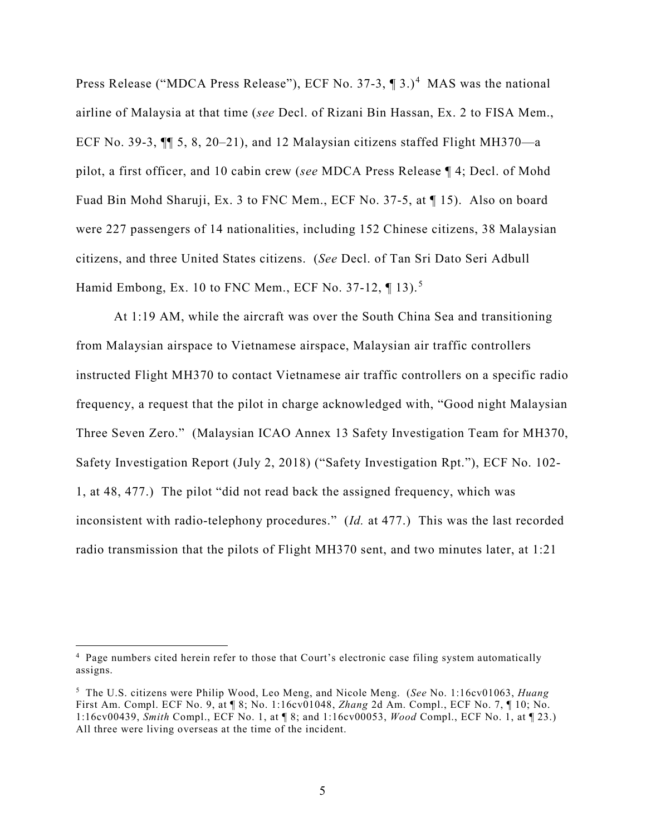Press Release ("MDCA Press Release"), ECF No. 37-3, ¶ 3.)<sup>[4](#page-4-0)</sup> MAS was the national airline of Malaysia at that time (*see* Decl. of Rizani Bin Hassan, Ex. 2 to FISA Mem., ECF No. 39-3, ¶¶ 5, 8, 20–21), and 12 Malaysian citizens staffed Flight MH370—a pilot, a first officer, and 10 cabin crew (*see* MDCA Press Release ¶ 4; Decl. of Mohd Fuad Bin Mohd Sharuji, Ex. 3 to FNC Mem., ECF No. 37-5, at ¶ 15). Also on board were 227 passengers of 14 nationalities, including 152 Chinese citizens, 38 Malaysian citizens, and three United States citizens. (*See* Decl. of Tan Sri Dato Seri Adbull Hamid Embong, Ex. 10 to FNC Mem., ECF No. 37-12, ¶ 13).<sup>[5](#page-4-1)</sup>

At 1:19 AM, while the aircraft was over the South China Sea and transitioning from Malaysian airspace to Vietnamese airspace, Malaysian air traffic controllers instructed Flight MH370 to contact Vietnamese air traffic controllers on a specific radio frequency, a request that the pilot in charge acknowledged with, "Good night Malaysian Three Seven Zero." (Malaysian ICAO Annex 13 Safety Investigation Team for MH370, Safety Investigation Report (July 2, 2018) ("Safety Investigation Rpt."), ECF No. 102- 1, at 48, 477.) The pilot "did not read back the assigned frequency, which was inconsistent with radio-telephony procedures." (*Id.* at 477.) This was the last recorded radio transmission that the pilots of Flight MH370 sent, and two minutes later, at 1:21

<span id="page-4-0"></span><sup>&</sup>lt;sup>4</sup> Page numbers cited herein refer to those that Court's electronic case filing system automatically assigns.

<span id="page-4-1"></span><sup>5</sup> The U.S. citizens were Philip Wood, Leo Meng, and Nicole Meng. (*See* No. 1:16cv01063, *Huang* First Am. Compl. ECF No. 9, at ¶ 8; No. 1:16cv01048, *Zhang* 2d Am. Compl., ECF No. 7, ¶ 10; No. 1:16cv00439, *Smith* Compl., ECF No. 1, at ¶ 8; and 1:16cv00053, *Wood* Compl., ECF No. 1, at ¶ 23.) All three were living overseas at the time of the incident.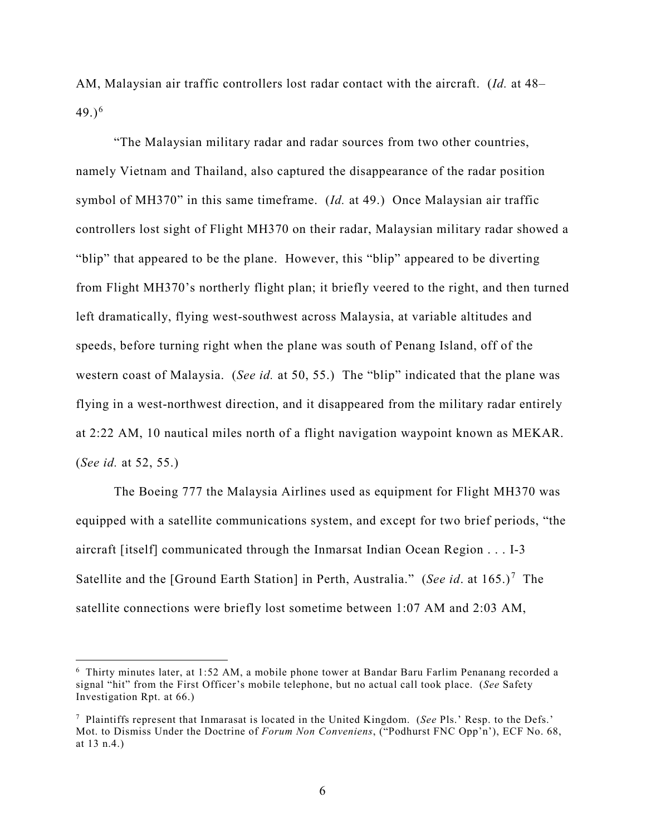AM, Malaysian air traffic controllers lost radar contact with the aircraft. (*Id.* at 48– 49.) $^{6}$  $^{6}$  $^{6}$ 

"The Malaysian military radar and radar sources from two other countries, namely Vietnam and Thailand, also captured the disappearance of the radar position symbol of MH370" in this same timeframe. (*Id.* at 49.) Once Malaysian air traffic controllers lost sight of Flight MH370 on their radar, Malaysian military radar showed a "blip" that appeared to be the plane. However, this "blip" appeared to be diverting from Flight MH370's northerly flight plan; it briefly veered to the right, and then turned left dramatically, flying west-southwest across Malaysia, at variable altitudes and speeds, before turning right when the plane was south of Penang Island, off of the western coast of Malaysia. (*See id.* at 50, 55.) The "blip" indicated that the plane was flying in a west-northwest direction, and it disappeared from the military radar entirely at 2:22 AM, 10 nautical miles north of a flight navigation waypoint known as MEKAR. (*See id.* at 52, 55.)

The Boeing 777 the Malaysia Airlines used as equipment for Flight MH370 was equipped with a satellite communications system, and except for two brief periods, "the aircraft [itself] communicated through the Inmarsat Indian Ocean Region . . . I-3 Satellite and the [Ground Earth Station] in Perth, Australia." (*See id.* at 165.)<sup>[7](#page-5-1)</sup> The satellite connections were briefly lost sometime between 1:07 AM and 2:03 AM,

<span id="page-5-0"></span><sup>6</sup> Thirty minutes later, at 1:52 AM, a mobile phone tower at Bandar Baru Farlim Penanang recorded a signal "hit" from the First Officer's mobile telephone, but no actual call took place. (*See* Safety Investigation Rpt. at 66.)

<span id="page-5-1"></span><sup>7</sup> Plaintiffs represent that Inmarasat is located in the United Kingdom. (*See* Pls.' Resp. to the Defs.' Mot. to Dismiss Under the Doctrine of *Forum Non Conveniens*, ("Podhurst FNC Opp'n'), ECF No. 68, at 13 n.4.)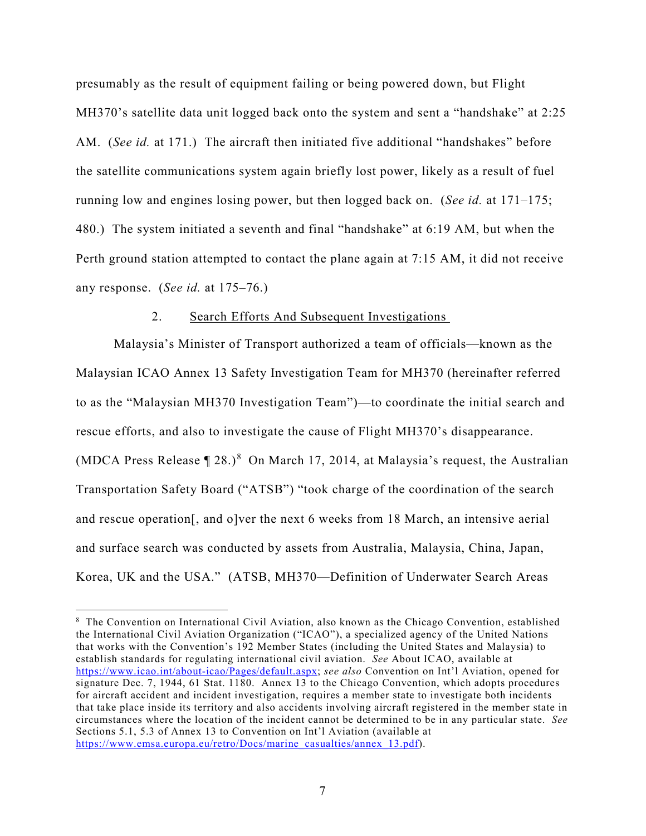presumably as the result of equipment failing or being powered down, but Flight MH370's satellite data unit logged back onto the system and sent a "handshake" at 2:25 AM. (*See id.* at 171.) The aircraft then initiated five additional "handshakes" before the satellite communications system again briefly lost power, likely as a result of fuel running low and engines losing power, but then logged back on. (*See id.* at 171–175; 480.) The system initiated a seventh and final "handshake" at 6:19 AM, but when the Perth ground station attempted to contact the plane again at 7:15 AM, it did not receive any response. (*See id.* at 175–76.)

#### 2. Search Efforts And Subsequent Investigations

Malaysia's Minister of Transport authorized a team of officials—known as the Malaysian ICAO Annex 13 Safety Investigation Team for MH370 (hereinafter referred to as the "Malaysian MH370 Investigation Team")—to coordinate the initial search and rescue efforts, and also to investigate the cause of Flight MH370's disappearance. (MDCA Press Release  $[28.98]$  $[28.98]$  $[28.98]$  On March 17, 2014, at Malaysia's request, the Australian Transportation Safety Board ("ATSB") "took charge of the coordination of the search and rescue operation[, and o]ver the next 6 weeks from 18 March, an intensive aerial and surface search was conducted by assets from Australia, Malaysia, China, Japan, Korea, UK and the USA." (ATSB, MH370—Definition of Underwater Search Areas

<span id="page-6-0"></span><sup>8</sup> The Convention on International Civil Aviation, also known as the Chicago Convention, established the International Civil Aviation Organization ("ICAO"), a specialized agency of the United Nations that works with the Convention's 192 Member States (including the United States and Malaysia) to establish standards for regulating international civil aviation. *See* About ICAO, available at [https://www.icao.int/about-icao/Pages/default.aspx;](https://www.icao.int/about-icao/Pages/default.aspx) *see also* Convention on Int'l Aviation, opened for signature Dec. 7, 1944, 61 Stat. 1180. Annex 13 to the Chicago Convention, which adopts procedures for aircraft accident and incident investigation, requires a member state to investigate both incidents that take place inside its territory and also accidents involving aircraft registered in the member state in circumstances where the location of the incident cannot be determined to be in any particular state. *See*  Sections 5.1, 5.3 of Annex 13 to Convention on Int'l Aviation (available at [https://www.emsa.europa.eu/retro/Docs/marine\\_casualties/annex\\_13.pdf\)](https://www.emsa.europa.eu/retro/Docs/marine_casualties/annex_13.pdf).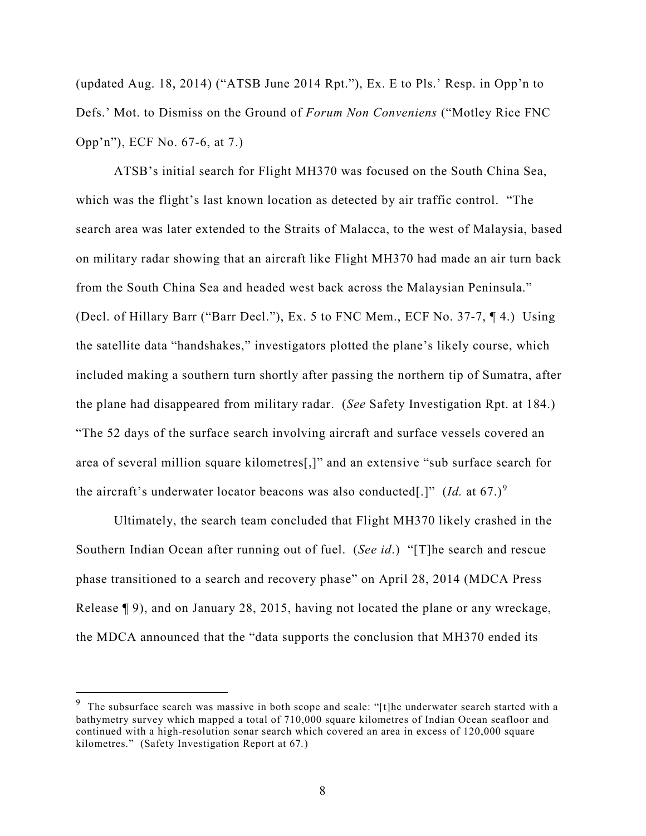(updated Aug. 18, 2014) ("ATSB June 2014 Rpt."), Ex. E to Pls.' Resp. in Opp'n to Defs.' Mot. to Dismiss on the Ground of *Forum Non Conveniens* ("Motley Rice FNC Opp'n"), ECF No. 67-6, at 7.)

ATSB's initial search for Flight MH370 was focused on the South China Sea, which was the flight's last known location as detected by air traffic control. "The search area was later extended to the Straits of Malacca, to the west of Malaysia, based on military radar showing that an aircraft like Flight MH370 had made an air turn back from the South China Sea and headed west back across the Malaysian Peninsula." (Decl. of Hillary Barr ("Barr Decl."), Ex. 5 to FNC Mem., ECF No. 37-7, ¶ 4.) Using the satellite data "handshakes," investigators plotted the plane's likely course, which included making a southern turn shortly after passing the northern tip of Sumatra, after the plane had disappeared from military radar. (*See* Safety Investigation Rpt. at 184.) "The 52 days of the surface search involving aircraft and surface vessels covered an area of several million square kilometres[,]" and an extensive "sub surface search for the aircraft's underwater locator beacons was also conducted[.]" (*Id.* at 67.)<sup>[9](#page-7-0)</sup>

Ultimately, the search team concluded that Flight MH370 likely crashed in the Southern Indian Ocean after running out of fuel. (*See id*.) "[T]he search and rescue phase transitioned to a search and recovery phase" on April 28, 2014 (MDCA Press Release ¶ 9), and on January 28, 2015, having not located the plane or any wreckage, the MDCA announced that the "data supports the conclusion that MH370 ended its

<span id="page-7-0"></span> $9$  The subsurface search was massive in both scope and scale: "[t]he underwater search started with a bathymetry survey which mapped a total of 710,000 square kilometres of Indian Ocean seafloor and continued with a high-resolution sonar search which covered an area in excess of 120,000 square kilometres." (Safety Investigation Report at 67*.*)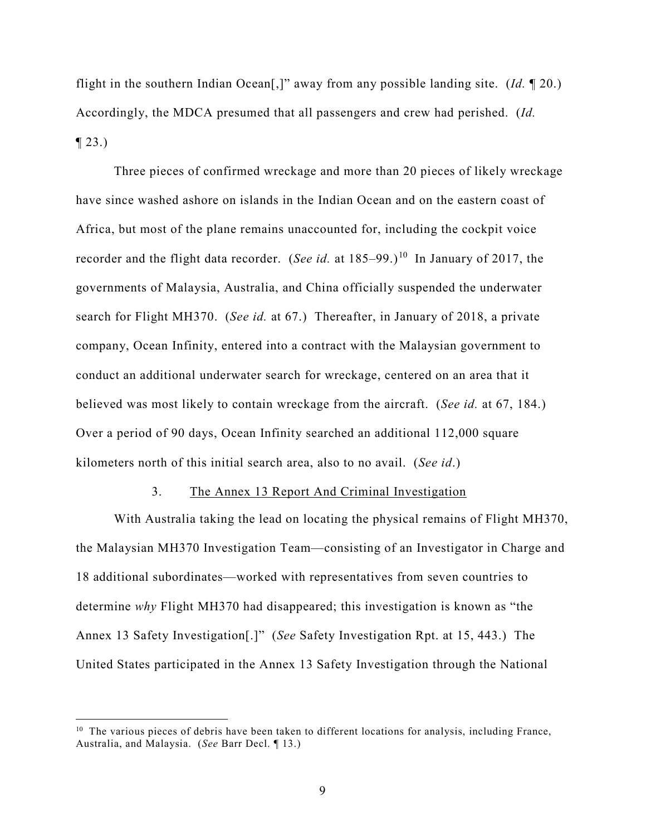flight in the southern Indian Ocean[,]" away from any possible landing site. (*Id.* ¶ 20.) Accordingly, the MDCA presumed that all passengers and crew had perished. (*Id.*   $\P$  23.)

Three pieces of confirmed wreckage and more than 20 pieces of likely wreckage have since washed ashore on islands in the Indian Ocean and on the eastern coast of Africa, but most of the plane remains unaccounted for, including the cockpit voice recorder and the flight data recorder. (*See id.* at 185–99.)<sup>[10](#page-8-0)</sup> In January of 2017, the governments of Malaysia, Australia, and China officially suspended the underwater search for Flight MH370. (*See id.* at 67.) Thereafter, in January of 2018, a private company, Ocean Infinity, entered into a contract with the Malaysian government to conduct an additional underwater search for wreckage, centered on an area that it believed was most likely to contain wreckage from the aircraft. (*See id.* at 67, 184.) Over a period of 90 days, Ocean Infinity searched an additional 112,000 square kilometers north of this initial search area, also to no avail. (*See id*.)

## 3. The Annex 13 Report And Criminal Investigation

With Australia taking the lead on locating the physical remains of Flight MH370, the Malaysian MH370 Investigation Team—consisting of an Investigator in Charge and 18 additional subordinates—worked with representatives from seven countries to determine *why* Flight MH370 had disappeared; this investigation is known as "the Annex 13 Safety Investigation[.]" (*See* Safety Investigation Rpt. at 15, 443.) The United States participated in the Annex 13 Safety Investigation through the National

<span id="page-8-0"></span><sup>&</sup>lt;sup>10</sup> The various pieces of debris have been taken to different locations for analysis, including France, Australia, and Malaysia. (*See* Barr Decl. ¶ 13.)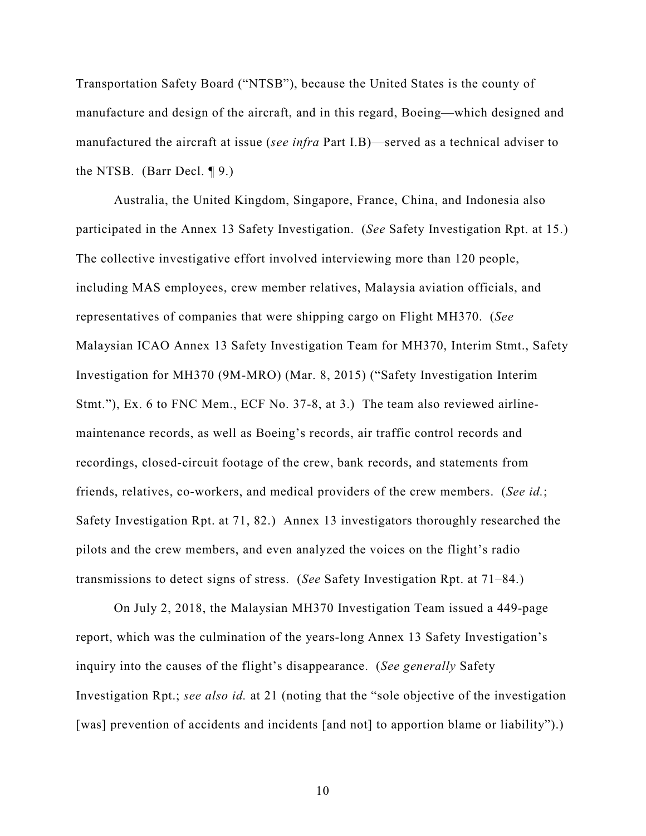Transportation Safety Board ("NTSB"), because the United States is the county of manufacture and design of the aircraft, and in this regard, Boeing—which designed and manufactured the aircraft at issue (*see infra* Part I.B)—served as a technical adviser to the NTSB. (Barr Decl. ¶ 9.)

Australia, the United Kingdom, Singapore, France, China, and Indonesia also participated in the Annex 13 Safety Investigation. (*See* Safety Investigation Rpt. at 15.) The collective investigative effort involved interviewing more than 120 people, including MAS employees, crew member relatives, Malaysia aviation officials, and representatives of companies that were shipping cargo on Flight MH370. (*See*  Malaysian ICAO Annex 13 Safety Investigation Team for MH370, Interim Stmt., Safety Investigation for MH370 (9M-MRO) (Mar. 8, 2015) ("Safety Investigation Interim Stmt."), Ex. 6 to FNC Mem., ECF No. 37-8, at 3.) The team also reviewed airlinemaintenance records, as well as Boeing's records, air traffic control records and recordings, closed-circuit footage of the crew, bank records, and statements from friends, relatives, co-workers, and medical providers of the crew members. (*See id.*; Safety Investigation Rpt. at 71, 82.) Annex 13 investigators thoroughly researched the pilots and the crew members, and even analyzed the voices on the flight's radio transmissions to detect signs of stress. (*See* Safety Investigation Rpt. at 71–84.)

On July 2, 2018, the Malaysian MH370 Investigation Team issued a 449-page report, which was the culmination of the years-long Annex 13 Safety Investigation's inquiry into the causes of the flight's disappearance. (*See generally* Safety Investigation Rpt.; *see also id.* at 21 (noting that the "sole objective of the investigation [was] prevention of accidents and incidents [and not] to apportion blame or liability").)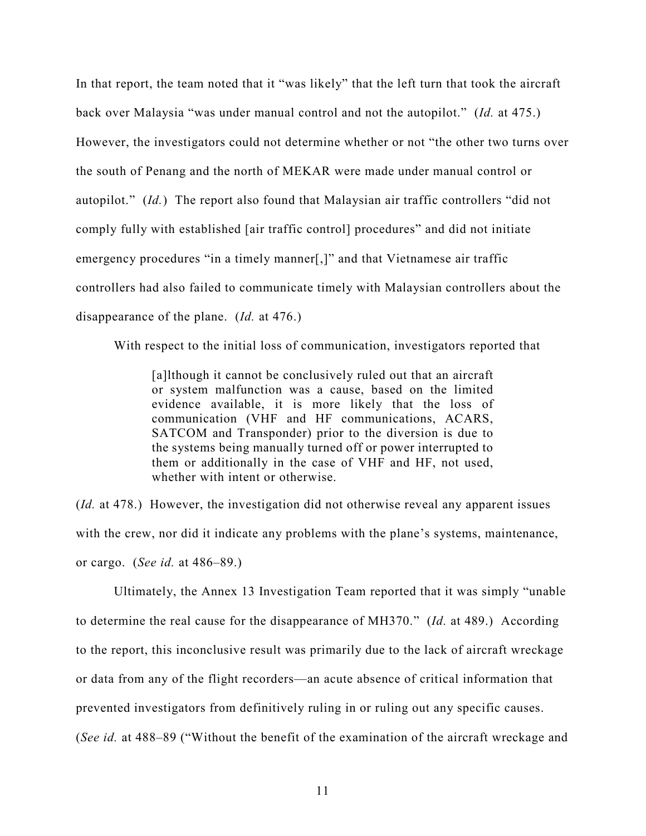In that report, the team noted that it "was likely" that the left turn that took the aircraft back over Malaysia "was under manual control and not the autopilot." (*Id.* at 475.) However, the investigators could not determine whether or not "the other two turns over the south of Penang and the north of MEKAR were made under manual control or autopilot." (*Id.*) The report also found that Malaysian air traffic controllers "did not comply fully with established [air traffic control] procedures" and did not initiate emergency procedures "in a timely manner[,]" and that Vietnamese air traffic controllers had also failed to communicate timely with Malaysian controllers about the disappearance of the plane. (*Id.* at 476.)

With respect to the initial loss of communication, investigators reported that

[a]lthough it cannot be conclusively ruled out that an aircraft or system malfunction was a cause, based on the limited evidence available, it is more likely that the loss of communication (VHF and HF communications, ACARS, SATCOM and Transponder) prior to the diversion is due to the systems being manually turned off or power interrupted to them or additionally in the case of VHF and HF, not used, whether with intent or otherwise.

(*Id.* at 478.) However, the investigation did not otherwise reveal any apparent issues with the crew, nor did it indicate any problems with the plane's systems, maintenance, or cargo. (*See id.* at 486–89.)

Ultimately, the Annex 13 Investigation Team reported that it was simply "unable to determine the real cause for the disappearance of MH370." (*Id.* at 489.) According to the report, this inconclusive result was primarily due to the lack of aircraft wreckage or data from any of the flight recorders—an acute absence of critical information that prevented investigators from definitively ruling in or ruling out any specific causes. (*See id.* at 488–89 ("Without the benefit of the examination of the aircraft wreckage and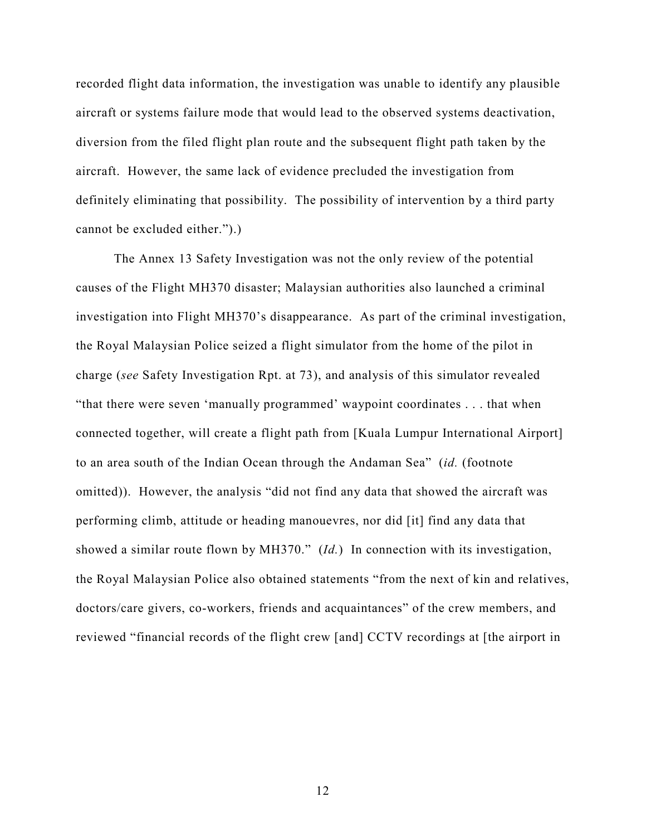recorded flight data information, the investigation was unable to identify any plausible aircraft or systems failure mode that would lead to the observed systems deactivation, diversion from the filed flight plan route and the subsequent flight path taken by the aircraft. However, the same lack of evidence precluded the investigation from definitely eliminating that possibility. The possibility of intervention by a third party cannot be excluded either.").)

The Annex 13 Safety Investigation was not the only review of the potential causes of the Flight MH370 disaster; Malaysian authorities also launched a criminal investigation into Flight MH370's disappearance. As part of the criminal investigation, the Royal Malaysian Police seized a flight simulator from the home of the pilot in charge (*see* Safety Investigation Rpt. at 73), and analysis of this simulator revealed "that there were seven 'manually programmed' waypoint coordinates . . . that when connected together, will create a flight path from [Kuala Lumpur International Airport] to an area south of the Indian Ocean through the Andaman Sea" (*id.* (footnote omitted)). However, the analysis "did not find any data that showed the aircraft was performing climb, attitude or heading manouevres, nor did [it] find any data that showed a similar route flown by MH370." (*Id.*) In connection with its investigation, the Royal Malaysian Police also obtained statements "from the next of kin and relatives, doctors/care givers, co-workers, friends and acquaintances" of the crew members, and reviewed "financial records of the flight crew [and] CCTV recordings at [the airport in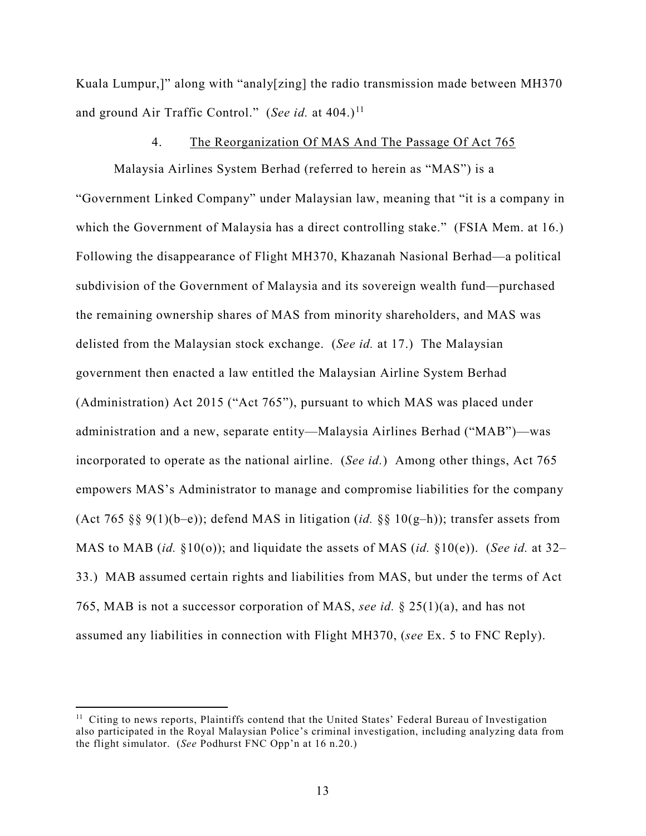Kuala Lumpur,]" along with "analy[zing] the radio transmission made between MH370 and ground Air Traffic Control." (*See id.* at 404.)<sup>[11](#page-12-0)</sup>

### 4. The Reorganization Of MAS And The Passage Of Act 765

Malaysia Airlines System Berhad (referred to herein as "MAS") is a "Government Linked Company" under Malaysian law, meaning that "it is a company in which the Government of Malaysia has a direct controlling stake." (FSIA Mem. at 16.) Following the disappearance of Flight MH370, Khazanah Nasional Berhad—a political subdivision of the Government of Malaysia and its sovereign wealth fund—purchased the remaining ownership shares of MAS from minority shareholders, and MAS was delisted from the Malaysian stock exchange. (*See id.* at 17.) The Malaysian government then enacted a law entitled the Malaysian Airline System Berhad (Administration) Act 2015 ("Act 765"), pursuant to which MAS was placed under administration and a new, separate entity—Malaysia Airlines Berhad ("MAB")—was incorporated to operate as the national airline. (*See id.*) Among other things, Act 765 empowers MAS's Administrator to manage and compromise liabilities for the company (Act 765 §§ 9(1)(b–e)); defend MAS in litigation (*id.* §§ 10(g–h)); transfer assets from MAS to MAB (*id.* §10(o)); and liquidate the assets of MAS (*id.* §10(e)). (*See id.* at 32– 33.) MAB assumed certain rights and liabilities from MAS, but under the terms of Act 765, MAB is not a successor corporation of MAS, *see id.* § 25(1)(a), and has not assumed any liabilities in connection with Flight MH370, (*see* Ex. 5 to FNC Reply).

<span id="page-12-0"></span><sup>&</sup>lt;sup>11</sup> Citing to news reports, Plaintiffs contend that the United States' Federal Bureau of Investigation also participated in the Royal Malaysian Police's criminal investigation, including analyzing data from the flight simulator. (*See* Podhurst FNC Opp'n at 16 n.20.)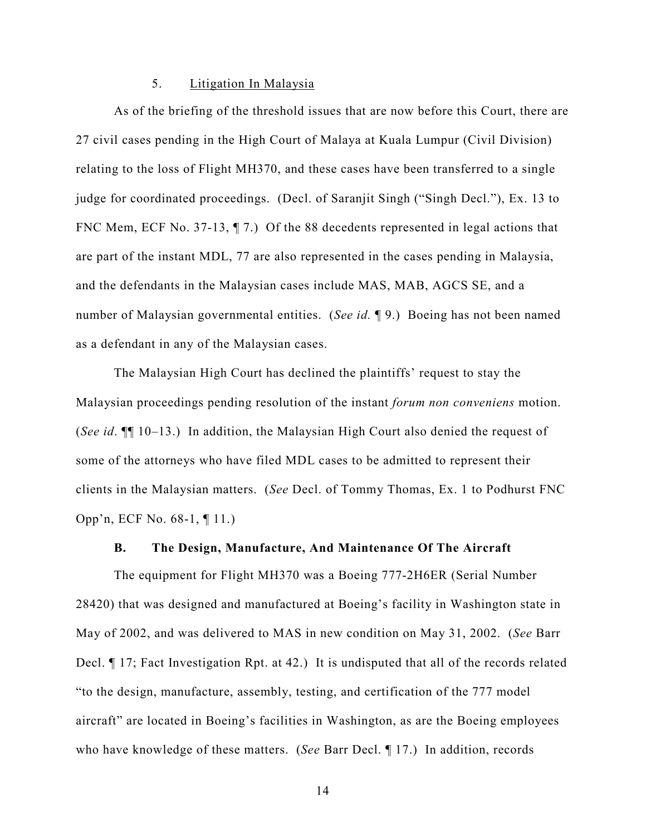# 5. Litigation In Malaysia

As of the briefing of the threshold issues that are now before this Court, there are 27 civil cases pending in the High Court of Malaya at Kuala Lumpur (Civil Division) relating to the loss of Flight MH370, and these cases have been transferred to a single judge for coordinated proceedings. (Decl. of Saranjit Singh ("Singh Decl."), Ex. 13 to FNC Mem, ECF No. 37-13, 17.) Of the 88 decedents represented in legal actions that are part of the instant MDL, 77 are also represented in the cases pending in Malaysia, and the defendants in the Malaysian cases include MAS, MAB, AGCS SE, and a number of Malaysian governmental entities. (*See id.* ¶ 9.) Boeing has not been named as a defendant in any of the Malaysian cases.

The Malaysian High Court has declined the plaintiffs' request to stay the Malaysian proceedings pending resolution of the instant *forum non conveniens* motion. (*See id*. ¶¶ 10–13.) In addition, the Malaysian High Court also denied the request of some of the attorneys who have filed MDL cases to be admitted to represent their clients in the Malaysian matters. (*See* Decl. of Tommy Thomas, Ex. 1 to Podhurst FNC Opp'n, ECF No. 68-1, ¶ 11.)

## **B. The Design, Manufacture, And Maintenance Of The Aircraft**

The equipment for Flight MH370 was a Boeing 777-2H6ER (Serial Number 28420) that was designed and manufactured at Boeing's facility in Washington state in May of 2002, and was delivered to MAS in new condition on May 31, 2002. (*See* Barr Decl. ¶ 17; Fact Investigation Rpt. at 42.) It is undisputed that all of the records related "to the design, manufacture, assembly, testing, and certification of the 777 model aircraft" are located in Boeing's facilities in Washington, as are the Boeing employees who have knowledge of these matters. (*See* Barr Decl. ¶ 17.) In addition, records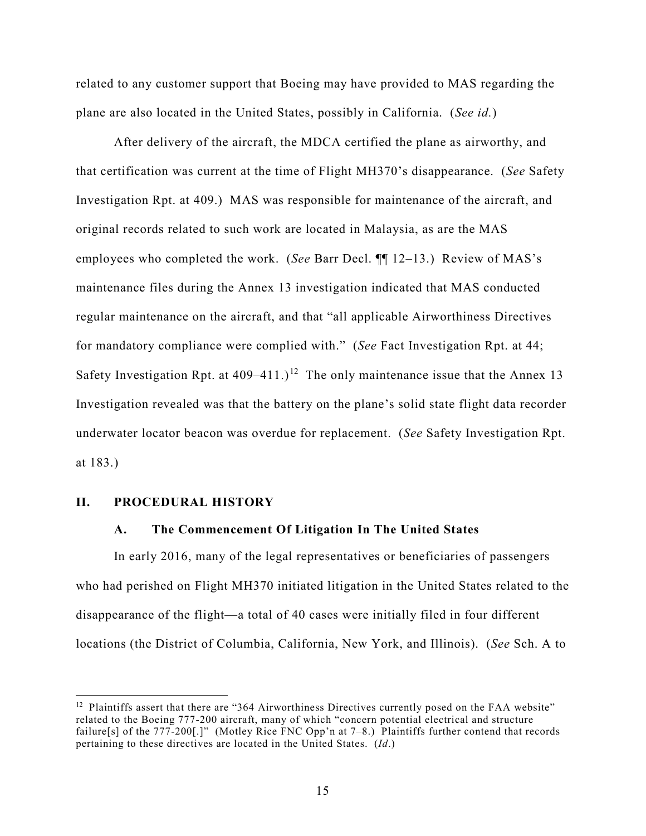related to any customer support that Boeing may have provided to MAS regarding the plane are also located in the United States, possibly in California. (*See id.*)

After delivery of the aircraft, the MDCA certified the plane as airworthy, and that certification was current at the time of Flight MH370's disappearance. (*See* Safety Investigation Rpt. at 409.) MAS was responsible for maintenance of the aircraft, and original records related to such work are located in Malaysia, as are the MAS employees who completed the work. (*See* Barr Decl. ¶¶ 12–13.) Review of MAS's maintenance files during the Annex 13 investigation indicated that MAS conducted regular maintenance on the aircraft, and that "all applicable Airworthiness Directives for mandatory compliance were complied with." (*See* Fact Investigation Rpt. at 44; Safety Investigation Rpt. at  $409-411$ .)<sup>[12](#page-14-0)</sup> The only maintenance issue that the Annex 13 Investigation revealed was that the battery on the plane's solid state flight data recorder underwater locator beacon was overdue for replacement. (*See* Safety Investigation Rpt. at 183.)

## **II. PROCEDURAL HISTORY**

 $\overline{a}$ 

#### **A. The Commencement Of Litigation In The United States**

In early 2016, many of the legal representatives or beneficiaries of passengers who had perished on Flight MH370 initiated litigation in the United States related to the disappearance of the flight—a total of 40 cases were initially filed in four different locations (the District of Columbia, California, New York, and Illinois). (*See* Sch. A to

<span id="page-14-0"></span> $12$  Plaintiffs assert that there are "364 Airworthiness Directives currently posed on the FAA website" related to the Boeing 777-200 aircraft, many of which "concern potential electrical and structure failure[s] of the 777-200[.]" (Motley Rice FNC Opp'n at 7–8.) Plaintiffs further contend that records pertaining to these directives are located in the United States. (*Id*.)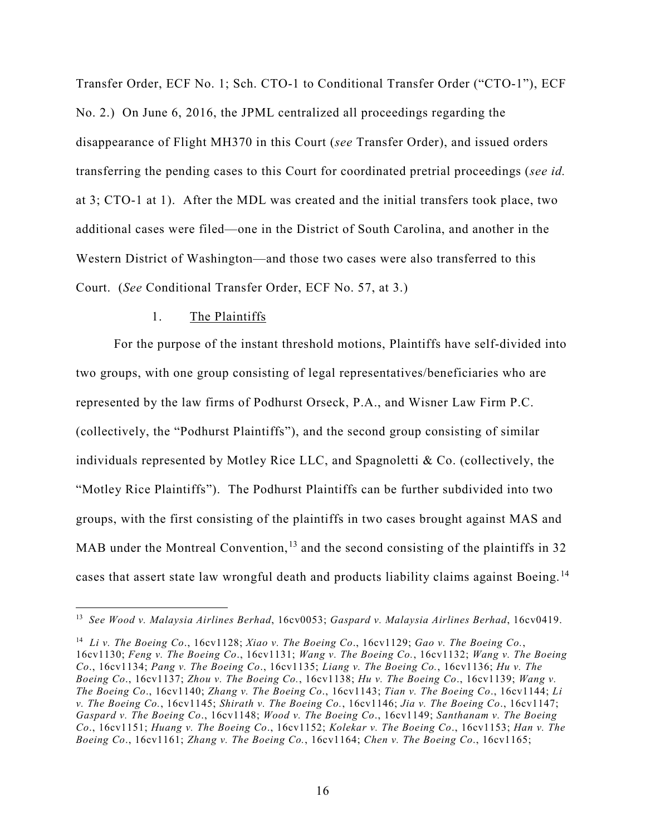Transfer Order, ECF No. 1; Sch. CTO-1 to Conditional Transfer Order ("CTO-1"), ECF No. 2.) On June 6, 2016, the JPML centralized all proceedings regarding the disappearance of Flight MH370 in this Court (*see* Transfer Order), and issued orders transferring the pending cases to this Court for coordinated pretrial proceedings (*see id.* at 3; CTO-1 at 1). After the MDL was created and the initial transfers took place, two additional cases were filed—one in the District of South Carolina, and another in the Western District of Washington—and those two cases were also transferred to this Court. (*See* Conditional Transfer Order, ECF No. 57, at 3.)

#### 1. The Plaintiffs

 $\overline{a}$ 

For the purpose of the instant threshold motions, Plaintiffs have self-divided into two groups, with one group consisting of legal representatives/beneficiaries who are represented by the law firms of Podhurst Orseck, P.A., and Wisner Law Firm P.C. (collectively, the "Podhurst Plaintiffs"), and the second group consisting of similar individuals represented by Motley Rice LLC, and Spagnoletti & Co. (collectively, the "Motley Rice Plaintiffs"). The Podhurst Plaintiffs can be further subdivided into two groups, with the first consisting of the plaintiffs in two cases brought against MAS and MAB under the Montreal Convention,  $^{13}$  $^{13}$  $^{13}$  and the second consisting of the plaintiffs in 32 cases that assert state law wrongful death and products liability claims against Boeing.<sup>[14](#page-15-1)</sup>

<span id="page-15-0"></span><sup>13</sup> *See Wood v. Malaysia Airlines Berhad*, 16cv0053; *Gaspard v. Malaysia Airlines Berhad*, 16cv0419.

<span id="page-15-1"></span><sup>14</sup> *Li v. The Boeing Co*., 16cv1128; *Xiao v. The Boeing Co*., 16cv1129; *Gao v. The Boeing Co.*, 16cv1130; *Feng v. The Boeing Co*., 16cv1131; *Wang v. The Boeing Co.*, 16cv1132; *Wang v. The Boeing Co*., 16cv1134; *Pang v. The Boeing Co*., 16cv1135; *Liang v. The Boeing Co.*, 16cv1136; *Hu v. The Boeing Co*., 16cv1137; *Zhou v. The Boeing Co.*, 16cv1138; *Hu v. The Boeing Co*., 16cv1139; *Wang v. The Boeing Co*., 16cv1140; *Zhang v. The Boeing Co*., 16cv1143; *Tian v. The Boeing Co*., 16cv1144; *Li v. The Boeing Co.*, 16cv1145; *Shirath v. The Boeing Co.*, 16cv1146; *Jia v. The Boeing Co*., 16cv1147; *Gaspard v. The Boeing Co*., 16cv1148; *Wood v. The Boeing Co*., 16cv1149; *Santhanam v. The Boeing Co*., 16cv1151; *Huang v. The Boeing Co*., 16cv1152; *Kolekar v. The Boeing Co*., 16cv1153; *Han v. The Boeing Co*., 16cv1161; *Zhang v. The Boeing Co.*, 16cv1164; *Chen v. The Boeing Co*., 16cv1165;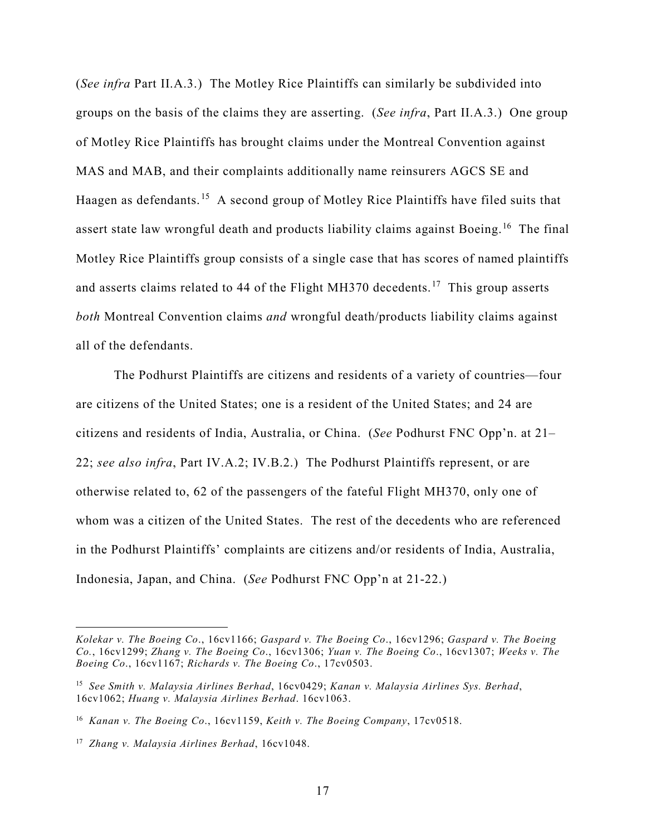(*See infra* Part II.A.3.) The Motley Rice Plaintiffs can similarly be subdivided into groups on the basis of the claims they are asserting. (*See infra*, Part II.A.3.) One group of Motley Rice Plaintiffs has brought claims under the Montreal Convention against MAS and MAB, and their complaints additionally name reinsurers AGCS SE and Haagen as defendants.<sup>[15](#page-16-0)</sup> A second group of Motley Rice Plaintiffs have filed suits that assert state law wrongful death and products liability claims against Boeing.<sup>[16](#page-16-1)</sup> The final Motley Rice Plaintiffs group consists of a single case that has scores of named plaintiffs and asserts claims related to 44 of the Flight MH370 decedents.<sup>[17](#page-16-2)</sup> This group asserts *both* Montreal Convention claims *and* wrongful death/products liability claims against all of the defendants.

The Podhurst Plaintiffs are citizens and residents of a variety of countries—four are citizens of the United States; one is a resident of the United States; and 24 are citizens and residents of India, Australia, or China. (*See* Podhurst FNC Opp'n. at 21– 22; *see also infra*, Part IV.A.2; IV.B.2.) The Podhurst Plaintiffs represent, or are otherwise related to, 62 of the passengers of the fateful Flight MH370, only one of whom was a citizen of the United States. The rest of the decedents who are referenced in the Podhurst Plaintiffs' complaints are citizens and/or residents of India, Australia, Indonesia, Japan, and China. (*See* Podhurst FNC Opp'n at 21-22.)

*Kolekar v. The Boeing Co*., 16cv1166; *Gaspard v. The Boeing Co*., 16cv1296; *Gaspard v. The Boeing Co.*, 16cv1299; *Zhang v. The Boeing Co*., 16cv1306; *Yuan v. The Boeing Co*., 16cv1307; *Weeks v. The Boeing Co*., 16cv1167; *Richards v. The Boeing Co*., 17cv0503.

<span id="page-16-0"></span><sup>15</sup> *See Smith v. Malaysia Airlines Berhad*, 16cv0429; *Kanan v. Malaysia Airlines Sys. Berhad*, 16cv1062; *Huang v. Malaysia Airlines Berhad*. 16cv1063.

<span id="page-16-1"></span><sup>16</sup> *Kanan v. The Boeing Co*., 16cv1159, *Keith v. The Boeing Company*, 17cv0518.

<span id="page-16-2"></span><sup>17</sup> *Zhang v. Malaysia Airlines Berhad*, 16cv1048.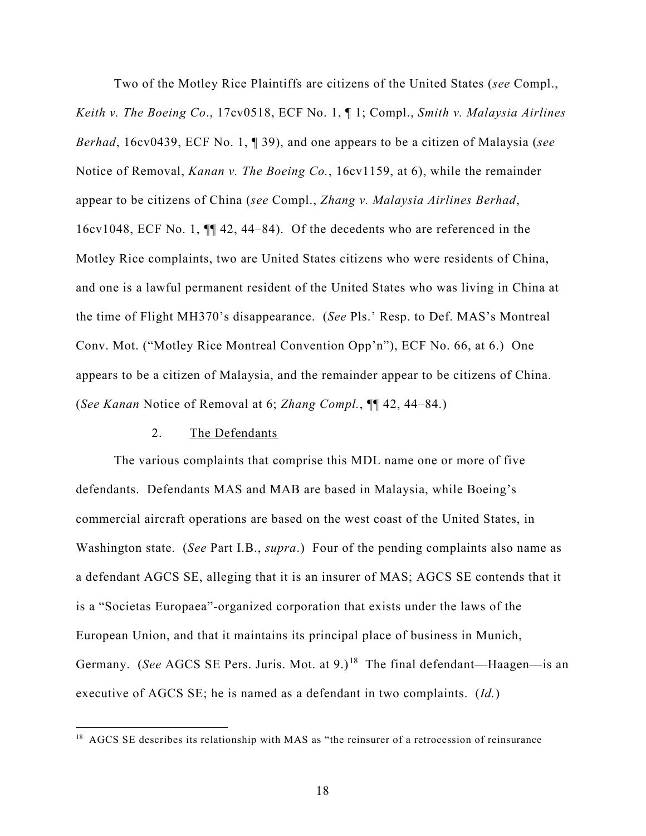Two of the Motley Rice Plaintiffs are citizens of the United States (*see* Compl., *Keith v. The Boeing Co*., 17cv0518, ECF No. 1, ¶ 1; Compl., *Smith v. Malaysia Airlines Berhad*, 16cv0439, ECF No. 1, ¶ 39), and one appears to be a citizen of Malaysia (*see*  Notice of Removal, *Kanan v. The Boeing Co.*, 16cv1159, at 6), while the remainder appear to be citizens of China (*see* Compl., *Zhang v. Malaysia Airlines Berhad*, 16cv1048, ECF No. 1, ¶¶ 42, 44–84). Of the decedents who are referenced in the Motley Rice complaints, two are United States citizens who were residents of China, and one is a lawful permanent resident of the United States who was living in China at the time of Flight MH370's disappearance. (*See* Pls.' Resp. to Def. MAS's Montreal Conv. Mot. ("Motley Rice Montreal Convention Opp'n"), ECF No. 66, at 6.) One appears to be a citizen of Malaysia, and the remainder appear to be citizens of China. (*See Kanan* Notice of Removal at 6; *Zhang Compl.*, ¶¶ 42, 44–84.)

#### 2. The Defendants

The various complaints that comprise this MDL name one or more of five defendants. Defendants MAS and MAB are based in Malaysia, while Boeing's commercial aircraft operations are based on the west coast of the United States, in Washington state. (*See* Part I.B., *supra*.) Four of the pending complaints also name as a defendant AGCS SE, alleging that it is an insurer of MAS; AGCS SE contends that it is a "Societas Europaea"-organized corporation that exists under the laws of the European Union, and that it maintains its principal place of business in Munich, Germany. (See AGCS SE Pers. Juris. Mot. at 9.)<sup>[18](#page-17-0)</sup> The final defendant—Haagen—is an executive of AGCS SE; he is named as a defendant in two complaints. (*Id.*)

<span id="page-17-0"></span> 18 AGCS SE describes its relationship with MAS as "the reinsurer of a retrocession of reinsurance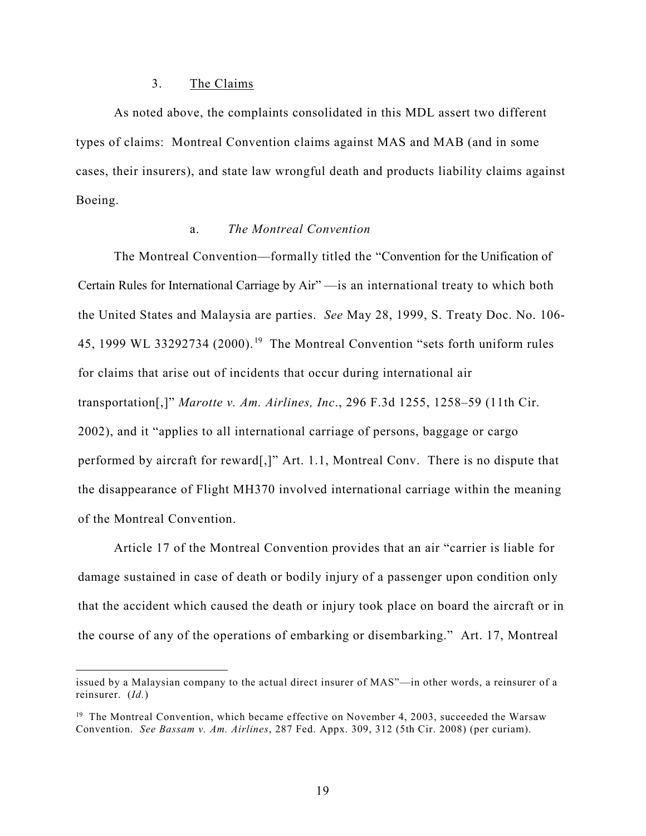#### 3. The Claims

 $\overline{a}$ 

As noted above, the complaints consolidated in this MDL assert two different types of claims: Montreal Convention claims against MAS and MAB (and in some cases, their insurers), and state law wrongful death and products liability claims against Boeing.

# a. *The Montreal Convention*

The Montreal Convention—formally titled the "Convention for the Unification of Certain Rules for International Carriage by Air" —is an international treaty to which both the United States and Malaysia are parties. *See* May 28, 1999, S. Treaty Doc. No. 106- 45, [19](#page-18-0)99 WL 33292734 (2000).<sup>19</sup> The Montreal Convention "sets forth uniform rules for claims that arise out of incidents that occur during international air transportation[,]" *Marotte v. Am. Airlines, Inc*., 296 F.3d 1255, 1258–59 (11th Cir. 2002), and it "applies to all international carriage of persons, baggage or cargo performed by aircraft for reward[,]" Art. 1.1, Montreal Conv. There is no dispute that the disappearance of Flight MH370 involved international carriage within the meaning of the Montreal Convention.

Article 17 of the Montreal Convention provides that an air "carrier is liable for damage sustained in case of death or bodily injury of a passenger upon condition only that the accident which caused the death or injury took place on board the aircraft or in the course of any of the operations of embarking or disembarking." Art. 17, Montreal

issued by a Malaysian company to the actual direct insurer of MAS"—in other words, a reinsurer of a reinsurer. (*Id.*)

<span id="page-18-0"></span><sup>&</sup>lt;sup>19</sup> The Montreal Convention, which became effective on November 4, 2003, succeeded the Warsaw Convention. *See Bassam v. Am. Airlines*, 287 Fed. Appx. 309, 312 (5th Cir. 2008) (per curiam).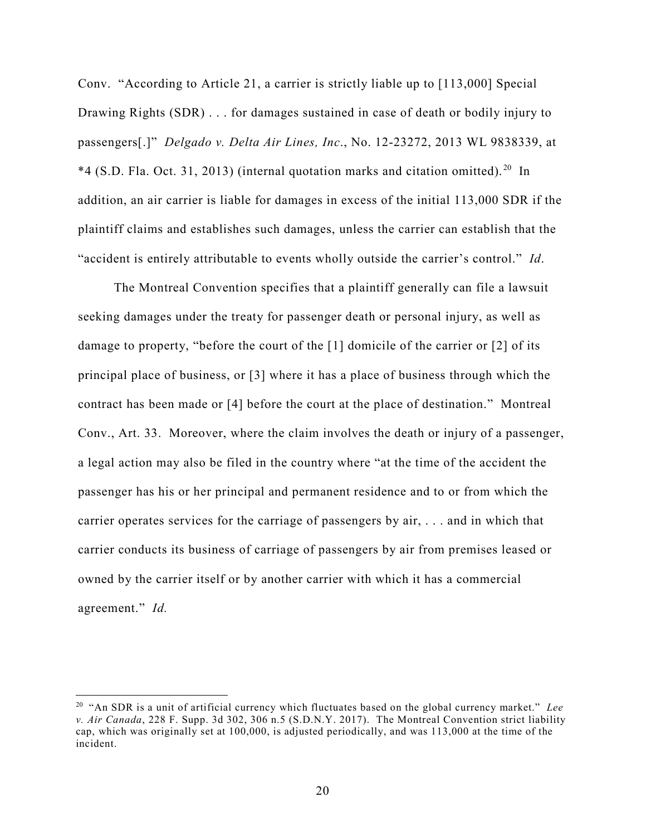Conv. "According to Article 21, a carrier is strictly liable up to [113,000] Special Drawing Rights (SDR) . . . for damages sustained in case of death or bodily injury to passengers[.]" *Delgado v. Delta Air Lines, Inc*., No. 12-23272, 2013 WL 9838339, at  $*4$  (S.D. Fla. Oct. 31, [20](#page-19-0)13) (internal quotation marks and citation omitted).<sup>20</sup> In addition, an air carrier is liable for damages in excess of the initial 113,000 SDR if the plaintiff claims and establishes such damages, unless the carrier can establish that the "accident is entirely attributable to events wholly outside the carrier's control." *Id*.

The Montreal Convention specifies that a plaintiff generally can file a lawsuit seeking damages under the treaty for passenger death or personal injury, as well as damage to property, "before the court of the [1] domicile of the carrier or [2] of its principal place of business, or [3] where it has a place of business through which the contract has been made or [4] before the court at the place of destination." Montreal Conv., Art. 33. Moreover, where the claim involves the death or injury of a passenger, a legal action may also be filed in the country where "at the time of the accident the passenger has his or her principal and permanent residence and to or from which the carrier operates services for the carriage of passengers by air, . . . and in which that carrier conducts its business of carriage of passengers by air from premises leased or owned by the carrier itself or by another carrier with which it has a commercial agreement." *Id.* 

<span id="page-19-0"></span><sup>20</sup> "An SDR is a unit of artificial currency which fluctuates based on the global currency market." *Lee v. Air Canada*, 228 F. Supp. 3d 302, 306 n.5 (S.D.N.Y. 2017). The Montreal Convention strict liability cap, which was originally set at 100,000, is adjusted periodically, and was 113,000 at the time of the incident.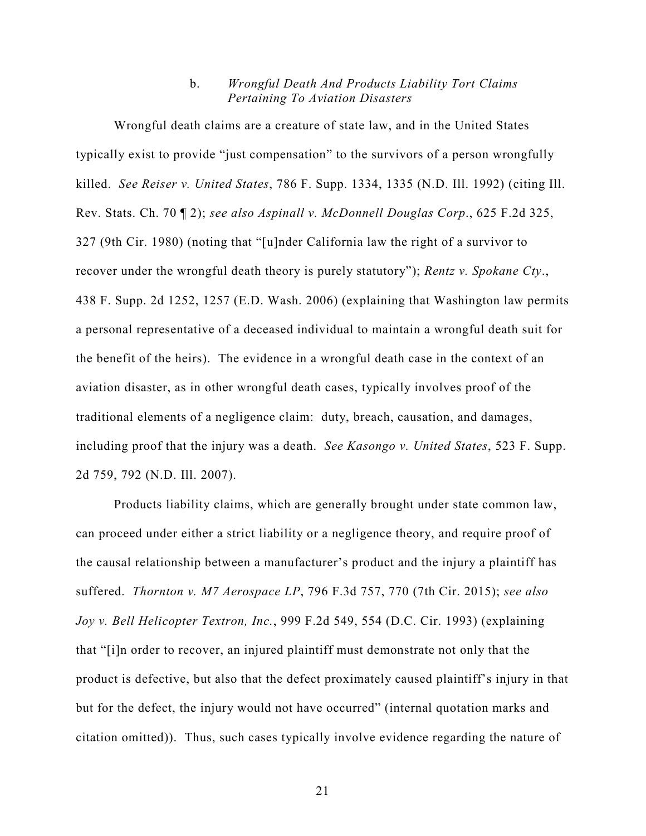## b. *Wrongful Death And Products Liability Tort Claims Pertaining To Aviation Disasters*

Wrongful death claims are a creature of state law, and in the United States typically exist to provide "just compensation" to the survivors of a person wrongfully killed. *See Reiser v. United States*, 786 F. Supp. 1334, 1335 (N.D. Ill. 1992) (citing Ill. Rev. Stats. Ch. 70 ¶ 2); *see also Aspinall v. McDonnell Douglas Corp*., 625 F.2d 325, 327 (9th Cir. 1980) (noting that "[u]nder California law the right of a survivor to recover under the wrongful death theory is purely statutory"); *Rentz v. Spokane Cty*., 438 F. Supp. 2d 1252, 1257 (E.D. Wash. 2006) (explaining that Washington law permits a personal representative of a deceased individual to maintain a wrongful death suit for the benefit of the heirs). The evidence in a wrongful death case in the context of an aviation disaster, as in other wrongful death cases, typically involves proof of the traditional elements of a negligence claim: duty, breach, causation, and damages, including proof that the injury was a death. *See Kasongo v. United States*, 523 F. Supp. 2d 759, 792 (N.D. Ill. 2007).

Products liability claims, which are generally brought under state common law, can proceed under either a strict liability or a negligence theory, and require proof of the causal relationship between a manufacturer's product and the injury a plaintiff has suffered. *Thornton v. M7 Aerospace LP*, 796 F.3d 757, 770 (7th Cir. 2015); *see also Joy v. Bell Helicopter Textron, Inc.*, 999 F.2d 549, 554 (D.C. Cir. 1993) (explaining that "[i]n order to recover, an injured plaintiff must demonstrate not only that the product is defective, but also that the defect proximately caused plaintiff's injury in that but for the defect, the injury would not have occurred" (internal quotation marks and citation omitted)). Thus, such cases typically involve evidence regarding the nature of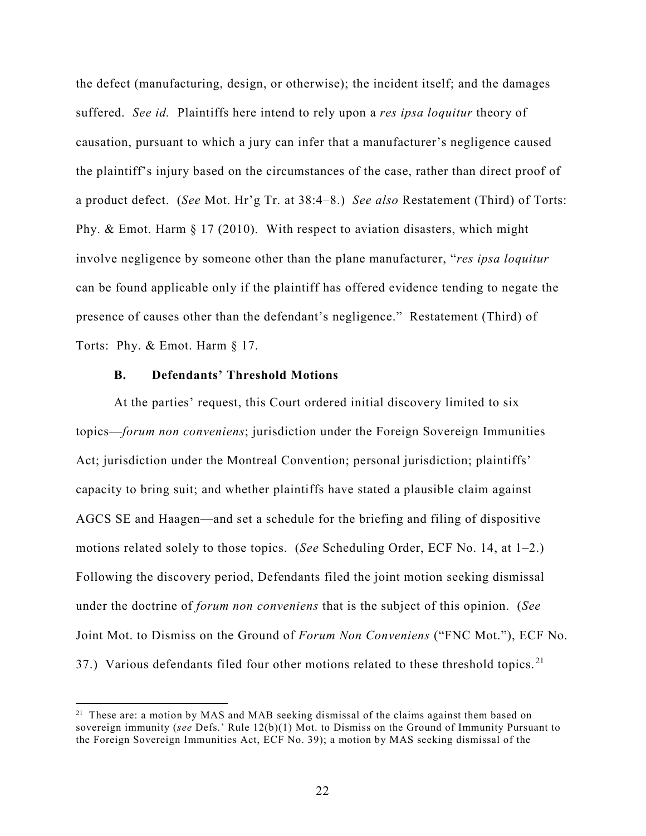the defect (manufacturing, design, or otherwise); the incident itself; and the damages suffered. *See id.* Plaintiffs here intend to rely upon a *res ipsa loquitur* theory of causation, pursuant to which a jury can infer that a manufacturer's negligence caused the plaintiff's injury based on the circumstances of the case, rather than direct proof of a product defect. (*See* Mot. Hr'g Tr. at 38:4–8.) *See also* Restatement (Third) of Torts: Phy. & Emot. Harm § 17 (2010). With respect to aviation disasters, which might involve negligence by someone other than the plane manufacturer, "*res ipsa loquitur* can be found applicable only if the plaintiff has offered evidence tending to negate the presence of causes other than the defendant's negligence." Restatement (Third) of Torts: Phy. & Emot. Harm § 17.

## **B. Defendants' Threshold Motions**

At the parties' request, this Court ordered initial discovery limited to six topics—*forum non conveniens*; jurisdiction under the Foreign Sovereign Immunities Act; jurisdiction under the Montreal Convention; personal jurisdiction; plaintiffs' capacity to bring suit; and whether plaintiffs have stated a plausible claim against AGCS SE and Haagen—and set a schedule for the briefing and filing of dispositive motions related solely to those topics. (*See* Scheduling Order, ECF No. 14, at 1–2.) Following the discovery period, Defendants filed the joint motion seeking dismissal under the doctrine of *forum non conveniens* that is the subject of this opinion. (*See*  Joint Mot. to Dismiss on the Ground of *Forum Non Conveniens* ("FNC Mot."), ECF No. 37.) Various defendants filed four other motions related to these threshold topics.<sup>[21](#page-21-0)</sup>

<span id="page-21-0"></span><sup>&</sup>lt;sup>21</sup> These are: a motion by MAS and MAB seeking dismissal of the claims against them based on sovereign immunity (*see* Defs.' Rule 12(b)(1) Mot. to Dismiss on the Ground of Immunity Pursuant to the Foreign Sovereign Immunities Act, ECF No. 39); a motion by MAS seeking dismissal of the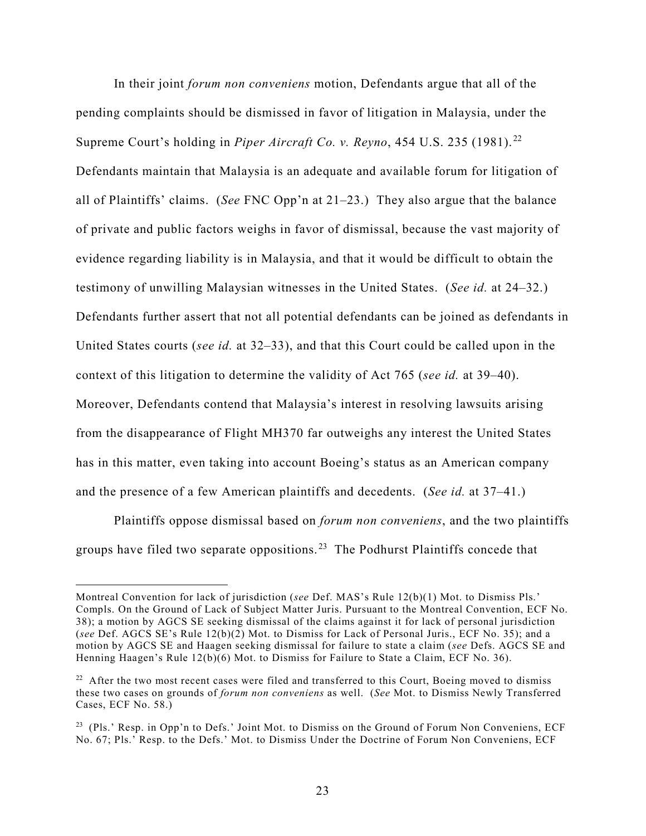In their joint *forum non conveniens* motion, Defendants argue that all of the pending complaints should be dismissed in favor of litigation in Malaysia, under the Supreme Court's holding in *Piper Aircraft Co. v. Reyno*, 454 U.S. 235 (1981). [22](#page-22-0) Defendants maintain that Malaysia is an adequate and available forum for litigation of all of Plaintiffs' claims. (*See* FNC Opp'n at 21–23.) They also argue that the balance of private and public factors weighs in favor of dismissal, because the vast majority of evidence regarding liability is in Malaysia, and that it would be difficult to obtain the testimony of unwilling Malaysian witnesses in the United States. (*See id.* at 24–32.) Defendants further assert that not all potential defendants can be joined as defendants in United States courts (*see id.* at 32–33), and that this Court could be called upon in the context of this litigation to determine the validity of Act 765 (*see id.* at 39–40). Moreover, Defendants contend that Malaysia's interest in resolving lawsuits arising from the disappearance of Flight MH370 far outweighs any interest the United States has in this matter, even taking into account Boeing's status as an American company and the presence of a few American plaintiffs and decedents. (*See id.* at 37–41.)

Plaintiffs oppose dismissal based on *forum non conveniens*, and the two plaintiffs groups have filed two separate oppositions.<sup>[23](#page-22-1)</sup> The Podhurst Plaintiffs concede that

Montreal Convention for lack of jurisdiction (*see* Def. MAS's Rule 12(b)(1) Mot. to Dismiss Pls.' Compls. On the Ground of Lack of Subject Matter Juris. Pursuant to the Montreal Convention, ECF No. 38); a motion by AGCS SE seeking dismissal of the claims against it for lack of personal jurisdiction (*see* Def. AGCS SE's Rule 12(b)(2) Mot. to Dismiss for Lack of Personal Juris., ECF No. 35); and a motion by AGCS SE and Haagen seeking dismissal for failure to state a claim (*see* Defs. AGCS SE and Henning Haagen's Rule 12(b)(6) Mot. to Dismiss for Failure to State a Claim, ECF No. 36).

<span id="page-22-0"></span> $22$  After the two most recent cases were filed and transferred to this Court, Boeing moved to dismiss these two cases on grounds of *forum non conveniens* as well. (*See* Mot. to Dismiss Newly Transferred Cases, ECF No. 58.)

<span id="page-22-1"></span><sup>&</sup>lt;sup>23</sup> (Pls.' Resp. in Opp'n to Defs.' Joint Mot. to Dismiss on the Ground of Forum Non Conveniens, ECF No. 67; Pls.' Resp. to the Defs.' Mot. to Dismiss Under the Doctrine of Forum Non Conveniens, ECF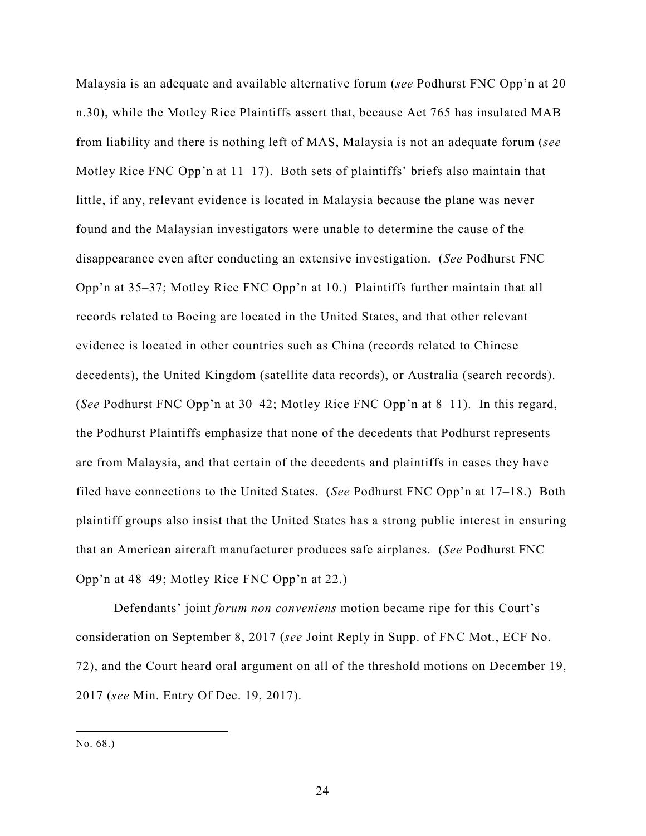Malaysia is an adequate and available alternative forum (*see* Podhurst FNC Opp'n at 20 n.30), while the Motley Rice Plaintiffs assert that, because Act 765 has insulated MAB from liability and there is nothing left of MAS, Malaysia is not an adequate forum (*see*  Motley Rice FNC Opp'n at 11–17). Both sets of plaintiffs' briefs also maintain that little, if any, relevant evidence is located in Malaysia because the plane was never found and the Malaysian investigators were unable to determine the cause of the disappearance even after conducting an extensive investigation. (*See* Podhurst FNC Opp'n at 35–37; Motley Rice FNC Opp'n at 10.) Plaintiffs further maintain that all records related to Boeing are located in the United States, and that other relevant evidence is located in other countries such as China (records related to Chinese decedents), the United Kingdom (satellite data records), or Australia (search records). (*See* Podhurst FNC Opp'n at 30–42; Motley Rice FNC Opp'n at 8–11). In this regard, the Podhurst Plaintiffs emphasize that none of the decedents that Podhurst represents are from Malaysia, and that certain of the decedents and plaintiffs in cases they have filed have connections to the United States. (*See* Podhurst FNC Opp'n at 17–18.) Both plaintiff groups also insist that the United States has a strong public interest in ensuring that an American aircraft manufacturer produces safe airplanes. (*See* Podhurst FNC Opp'n at 48–49; Motley Rice FNC Opp'n at 22.)

Defendants' joint *forum non conveniens* motion became ripe for this Court's consideration on September 8, 2017 (*see* Joint Reply in Supp. of FNC Mot., ECF No. 72), and the Court heard oral argument on all of the threshold motions on December 19, 2017 (*see* Min. Entry Of Dec. 19, 2017).

No. 68.)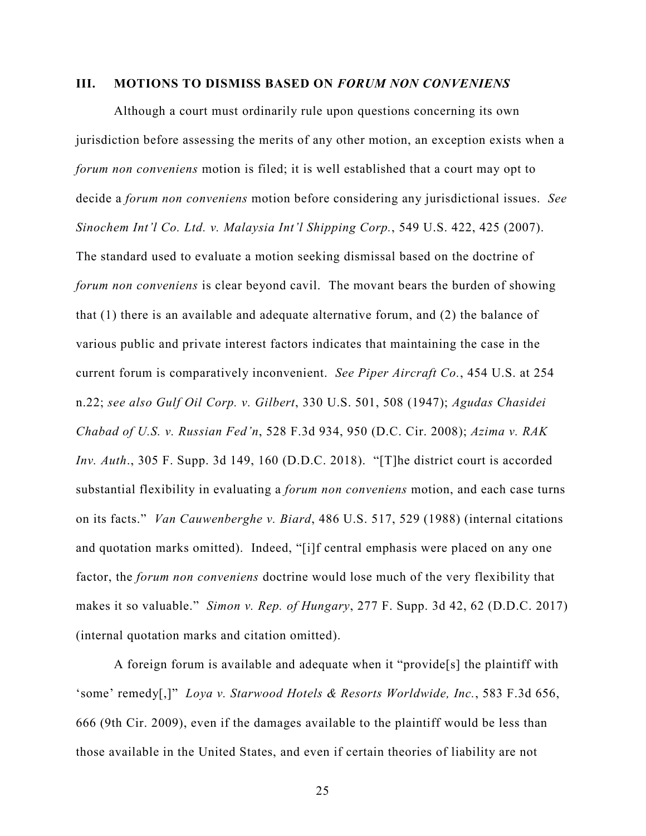#### **III. MOTIONS TO DISMISS BASED ON** *FORUM NON CONVENIENS*

Although a court must ordinarily rule upon questions concerning its own jurisdiction before assessing the merits of any other motion, an exception exists when a *forum non conveniens* motion is filed; it is well established that a court may opt to decide a *forum non conveniens* motion before considering any jurisdictional issues. *See Sinochem Int'l Co. Ltd. v. Malaysia Int'l Shipping Corp.*, 549 U.S. 422, 425 (2007). The standard used to evaluate a motion seeking dismissal based on the doctrine of *forum non conveniens* is clear beyond cavil. The movant bears the burden of showing that (1) there is an available and adequate alternative forum, and (2) the balance of various public and private interest factors indicates that maintaining the case in the current forum is comparatively inconvenient. *See Piper Aircraft Co.*, 454 U.S. at 254 n.22; *see also Gulf Oil Corp. v. Gilbert*, 330 U.S. 501, 508 (1947); *Agudas Chasidei Chabad of U.S. v. Russian Fed'n*, 528 F.3d 934, 950 (D.C. Cir. 2008); *Azima v. RAK Inv. Auth*., 305 F. Supp. 3d 149, 160 (D.D.C. 2018). "[T]he district court is accorded substantial flexibility in evaluating a *forum non conveniens* motion, and each case turns on its facts." *Van Cauwenberghe v. Biard*, 486 U.S. 517, 529 (1988) (internal citations and quotation marks omitted). Indeed, "[i]f central emphasis were placed on any one factor, the *forum non conveniens* doctrine would lose much of the very flexibility that makes it so valuable." *Simon v. Rep. of Hungary*, 277 F. Supp. 3d 42, 62 (D.D.C. 2017) (internal quotation marks and citation omitted).

A foreign forum is available and adequate when it "provide[s] the plaintiff with 'some' remedy[,]" *Loya v. Starwood Hotels & Resorts Worldwide, Inc.*, 583 F.3d 656, 666 (9th Cir. 2009), even if the damages available to the plaintiff would be less than those available in the United States, and even if certain theories of liability are not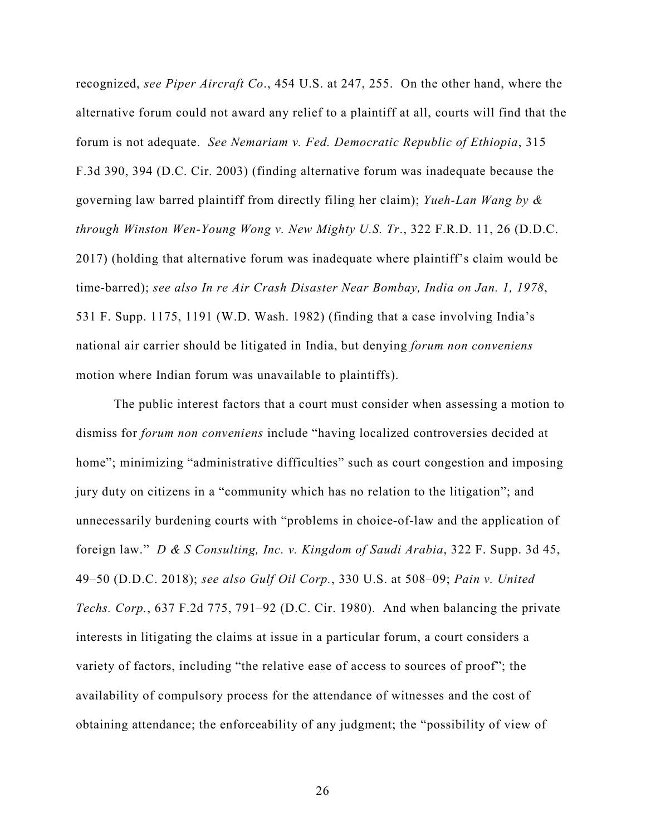recognized, *see Piper Aircraft Co*., 454 U.S. at 247, 255. On the other hand, where the alternative forum could not award any relief to a plaintiff at all, courts will find that the forum is not adequate. *See Nemariam v. Fed. Democratic Republic of Ethiopia*, 315 F.3d 390, 394 (D.C. Cir. 2003) (finding alternative forum was inadequate because the governing law barred plaintiff from directly filing her claim); *Yueh-Lan Wang by & through Winston Wen-Young Wong v. New Mighty U.S. Tr*., 322 F.R.D. 11, 26 (D.D.C. 2017) (holding that alternative forum was inadequate where plaintiff's claim would be time-barred); *see also In re Air Crash Disaster Near Bombay, India on Jan. 1, 1978*, 531 F. Supp. 1175, 1191 (W.D. Wash. 1982) (finding that a case involving India's national air carrier should be litigated in India, but denying *forum non conveniens* motion where Indian forum was unavailable to plaintiffs).

The public interest factors that a court must consider when assessing a motion to dismiss for *forum non conveniens* include "having localized controversies decided at home"; minimizing "administrative difficulties" such as court congestion and imposing jury duty on citizens in a "community which has no relation to the litigation"; and unnecessarily burdening courts with "problems in choice-of-law and the application of foreign law." *D & S Consulting, Inc. v. Kingdom of Saudi Arabia*, 322 F. Supp. 3d 45, 49–50 (D.D.C. 2018); *see also Gulf Oil Corp.*, 330 U.S. at 508–09; *Pain v. United Techs. Corp.*, 637 F.2d 775, 791–92 (D.C. Cir. 1980). And when balancing the private interests in litigating the claims at issue in a particular forum, a court considers a variety of factors, including "the relative ease of access to sources of proof"; the availability of compulsory process for the attendance of witnesses and the cost of obtaining attendance; the enforceability of any judgment; the "possibility of view of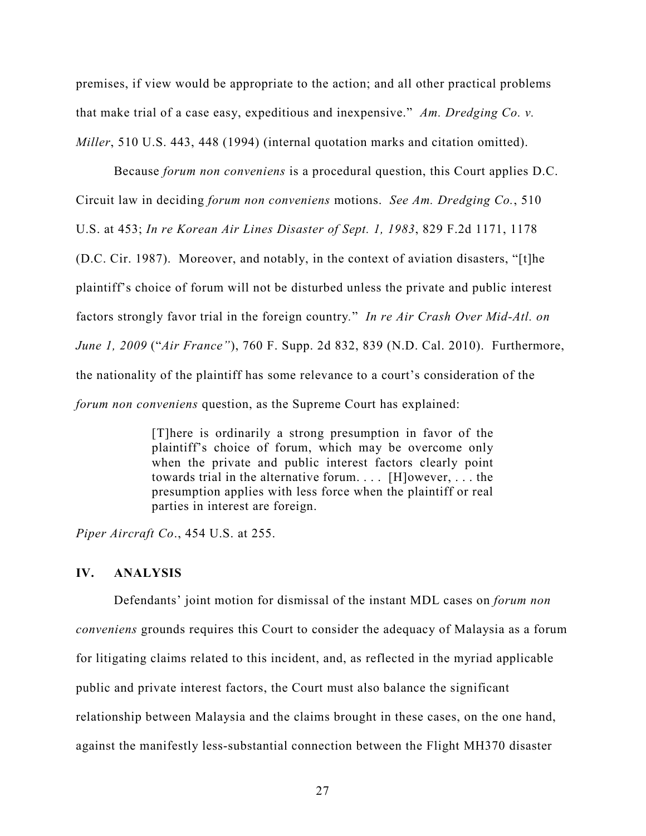premises, if view would be appropriate to the action; and all other practical problems that make trial of a case easy, expeditious and inexpensive." *Am. Dredging Co. v. Miller*, 510 U.S. 443, 448 (1994) (internal quotation marks and citation omitted).

Because *forum non conveniens* is a procedural question, this Court applies D.C. Circuit law in deciding *forum non conveniens* motions. *See Am. Dredging Co.*, 510 U.S. at 453; *In re Korean Air Lines Disaster of Sept. 1, 1983*, 829 F.2d 1171, 1178 (D.C. Cir. 1987). Moreover, and notably, in the context of aviation disasters, "[t]he plaintiff's choice of forum will not be disturbed unless the private and public interest factors strongly favor trial in the foreign country*.*" *In re Air Crash Over Mid-Atl. on June 1, 2009* ("*Air France"*), 760 F. Supp. 2d 832, 839 (N.D. Cal. 2010). Furthermore, the nationality of the plaintiff has some relevance to a court's consideration of the *forum non conveniens* question, as the Supreme Court has explained:

> [T]here is ordinarily a strong presumption in favor of the plaintiff's choice of forum, which may be overcome only when the private and public interest factors clearly point towards trial in the alternative forum. . . . [H]owever, . . . the presumption applies with less force when the plaintiff or real parties in interest are foreign.

*Piper Aircraft Co*., 454 U.S. at 255.

#### **IV. ANALYSIS**

Defendants' joint motion for dismissal of the instant MDL cases on *forum non conveniens* grounds requires this Court to consider the adequacy of Malaysia as a forum for litigating claims related to this incident, and, as reflected in the myriad applicable public and private interest factors, the Court must also balance the significant relationship between Malaysia and the claims brought in these cases, on the one hand, against the manifestly less-substantial connection between the Flight MH370 disaster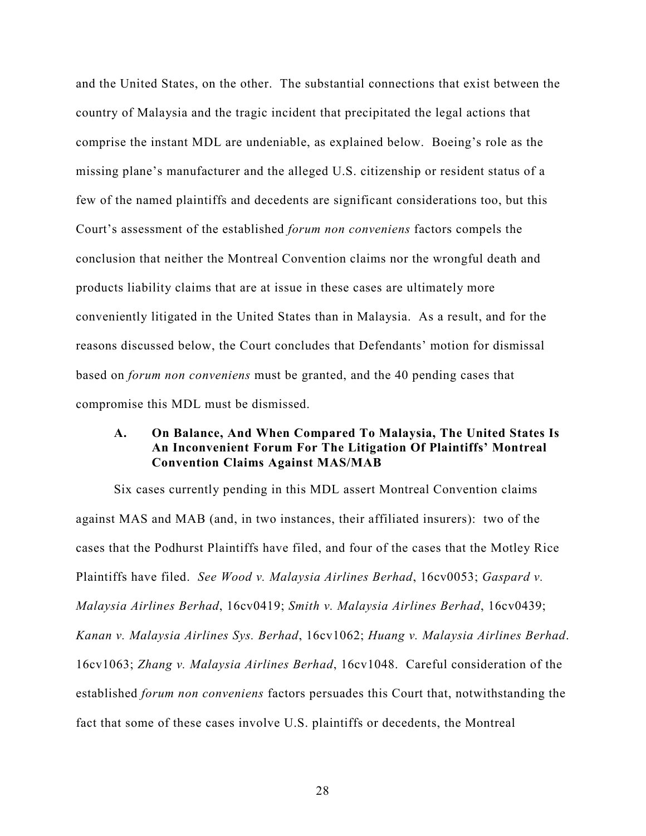and the United States, on the other. The substantial connections that exist between the country of Malaysia and the tragic incident that precipitated the legal actions that comprise the instant MDL are undeniable, as explained below. Boeing's role as the missing plane's manufacturer and the alleged U.S. citizenship or resident status of a few of the named plaintiffs and decedents are significant considerations too, but this Court's assessment of the established *forum non conveniens* factors compels the conclusion that neither the Montreal Convention claims nor the wrongful death and products liability claims that are at issue in these cases are ultimately more conveniently litigated in the United States than in Malaysia. As a result, and for the reasons discussed below, the Court concludes that Defendants' motion for dismissal based on *forum non conveniens* must be granted, and the 40 pending cases that compromise this MDL must be dismissed.

## **A. On Balance, And When Compared To Malaysia, The United States Is An Inconvenient Forum For The Litigation Of Plaintiffs' Montreal Convention Claims Against MAS/MAB**

Six cases currently pending in this MDL assert Montreal Convention claims against MAS and MAB (and, in two instances, their affiliated insurers): two of the cases that the Podhurst Plaintiffs have filed, and four of the cases that the Motley Rice Plaintiffs have filed. *See Wood v. Malaysia Airlines Berhad*, 16cv0053; *Gaspard v. Malaysia Airlines Berhad*, 16cv0419; *Smith v. Malaysia Airlines Berhad*, 16cv0439; *Kanan v. Malaysia Airlines Sys. Berhad*, 16cv1062; *Huang v. Malaysia Airlines Berhad*. 16cv1063; *Zhang v. Malaysia Airlines Berhad*, 16cv1048. Careful consideration of the established *forum non conveniens* factors persuades this Court that, notwithstanding the fact that some of these cases involve U.S. plaintiffs or decedents, the Montreal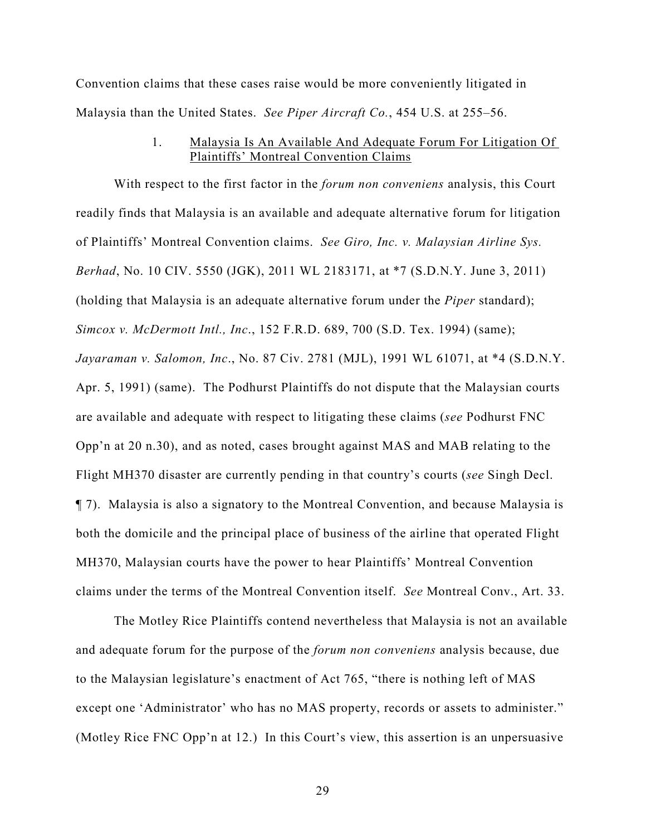Convention claims that these cases raise would be more conveniently litigated in Malaysia than the United States. *See Piper Aircraft Co.*, 454 U.S. at 255–56.

## 1. Malaysia Is An Available And Adequate Forum For Litigation Of Plaintiffs' Montreal Convention Claims

With respect to the first factor in the *forum non conveniens* analysis, this Court readily finds that Malaysia is an available and adequate alternative forum for litigation of Plaintiffs' Montreal Convention claims. *See Giro, Inc. v. Malaysian Airline Sys. Berhad*, No. 10 CIV. 5550 (JGK), 2011 WL 2183171, at \*7 (S.D.N.Y. June 3, 2011) (holding that Malaysia is an adequate alternative forum under the *Piper* standard); *Simcox v. McDermott Intl., Inc*., 152 F.R.D. 689, 700 (S.D. Tex. 1994) (same); *Jayaraman v. Salomon, Inc*., No. 87 Civ. 2781 (MJL), 1991 WL 61071, at \*4 (S.D.N.Y. Apr. 5, 1991) (same). The Podhurst Plaintiffs do not dispute that the Malaysian courts are available and adequate with respect to litigating these claims (*see* Podhurst FNC Opp'n at 20 n.30), and as noted, cases brought against MAS and MAB relating to the Flight MH370 disaster are currently pending in that country's courts (*see* Singh Decl. ¶ 7). Malaysia is also a signatory to the Montreal Convention, and because Malaysia is both the domicile and the principal place of business of the airline that operated Flight MH370, Malaysian courts have the power to hear Plaintiffs' Montreal Convention claims under the terms of the Montreal Convention itself. *See* Montreal Conv., Art. 33.

The Motley Rice Plaintiffs contend nevertheless that Malaysia is not an available and adequate forum for the purpose of the *forum non conveniens* analysis because, due to the Malaysian legislature's enactment of Act 765, "there is nothing left of MAS except one 'Administrator' who has no MAS property, records or assets to administer." (Motley Rice FNC Opp'n at 12.) In this Court's view, this assertion is an unpersuasive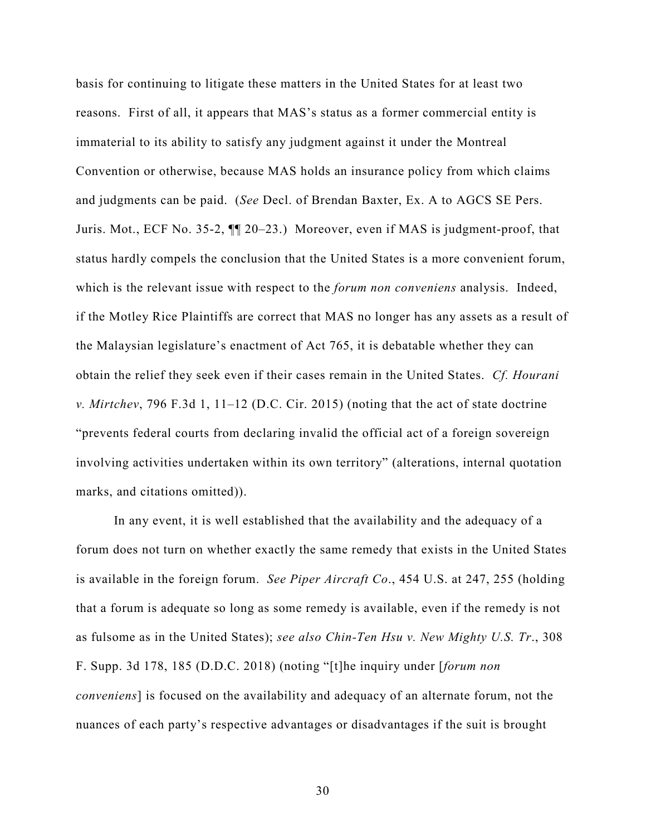basis for continuing to litigate these matters in the United States for at least two reasons. First of all, it appears that MAS's status as a former commercial entity is immaterial to its ability to satisfy any judgment against it under the Montreal Convention or otherwise, because MAS holds an insurance policy from which claims and judgments can be paid. (*See* Decl. of Brendan Baxter, Ex. A to AGCS SE Pers. Juris. Mot., ECF No. 35-2, ¶¶ 20–23.) Moreover, even if MAS is judgment-proof, that status hardly compels the conclusion that the United States is a more convenient forum, which is the relevant issue with respect to the *forum non conveniens* analysis. Indeed, if the Motley Rice Plaintiffs are correct that MAS no longer has any assets as a result of the Malaysian legislature's enactment of Act 765, it is debatable whether they can obtain the relief they seek even if their cases remain in the United States. *Cf. Hourani v. Mirtchev*, 796 F.3d 1, 11–12 (D.C. Cir. 2015) (noting that the act of state doctrine "prevents federal courts from declaring invalid the official act of a foreign sovereign involving activities undertaken within its own territory" (alterations, internal quotation marks, and citations omitted)).

In any event, it is well established that the availability and the adequacy of a forum does not turn on whether exactly the same remedy that exists in the United States is available in the foreign forum. *See Piper Aircraft Co*., 454 U.S. at 247, 255 (holding that a forum is adequate so long as some remedy is available, even if the remedy is not as fulsome as in the United States); *see also Chin-Ten Hsu v. New Mighty U.S. Tr*., 308 F. Supp. 3d 178, 185 (D.D.C. 2018) (noting "[t]he inquiry under [*forum non conveniens*] is focused on the availability and adequacy of an alternate forum, not the nuances of each party's respective advantages or disadvantages if the suit is brought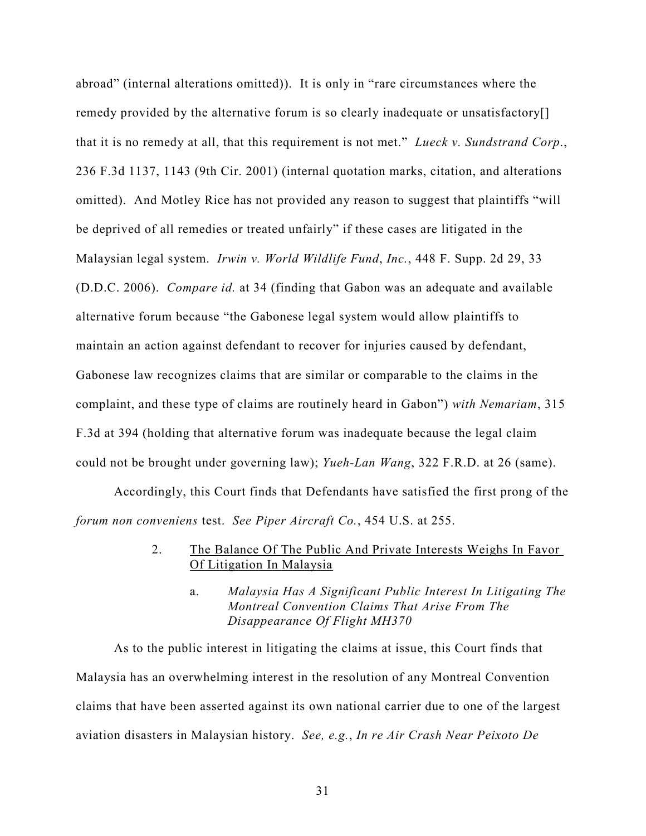abroad" (internal alterations omitted)). It is only in "rare circumstances where the remedy provided by the alternative forum is so clearly inadequate or unsatisfactory[] that it is no remedy at all, that this requirement is not met." *Lueck v. Sundstrand Corp*., 236 F.3d 1137, 1143 (9th Cir. 2001) (internal quotation marks, citation, and alterations omitted). And Motley Rice has not provided any reason to suggest that plaintiffs "will be deprived of all remedies or treated unfairly" if these cases are litigated in the Malaysian legal system. *Irwin v. World Wildlife Fund*, *Inc.*, 448 F. Supp. 2d 29, 33 (D.D.C. 2006). *Compare id.* at 34 (finding that Gabon was an adequate and available alternative forum because "the Gabonese legal system would allow plaintiffs to maintain an action against defendant to recover for injuries caused by defendant, Gabonese law recognizes claims that are similar or comparable to the claims in the complaint, and these type of claims are routinely heard in Gabon") *with Nemariam*, 315 F.3d at 394 (holding that alternative forum was inadequate because the legal claim could not be brought under governing law); *Yueh-Lan Wang*, 322 F.R.D. at 26 (same).

Accordingly, this Court finds that Defendants have satisfied the first prong of the *forum non conveniens* test. *See Piper Aircraft Co.*, 454 U.S. at 255.

## 2. The Balance Of The Public And Private Interests Weighs In Favor Of Litigation In Malaysia

a. *Malaysia Has A Significant Public Interest In Litigating The Montreal Convention Claims That Arise From The Disappearance Of Flight MH370*

As to the public interest in litigating the claims at issue, this Court finds that Malaysia has an overwhelming interest in the resolution of any Montreal Convention claims that have been asserted against its own national carrier due to one of the largest aviation disasters in Malaysian history. *See, e.g.*, *In re Air Crash Near Peixoto De*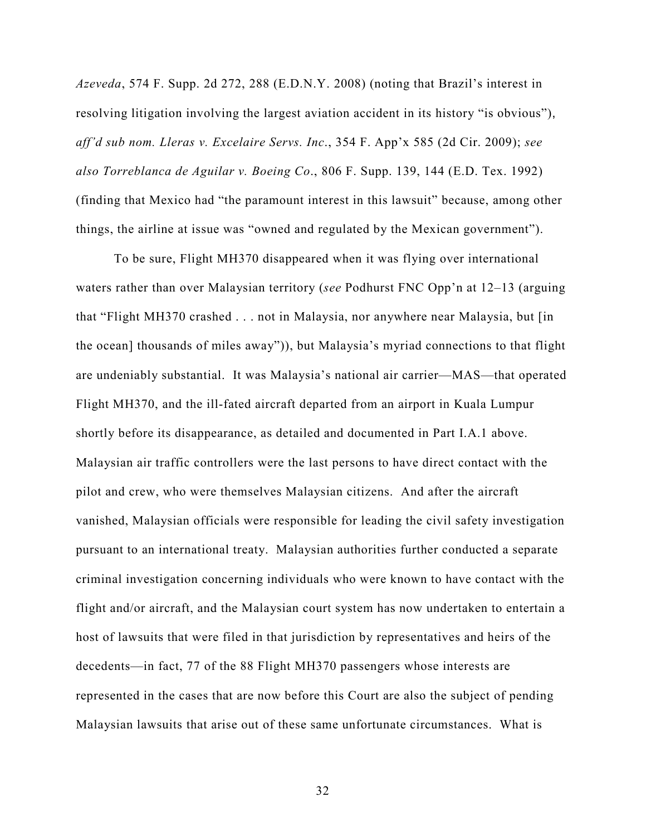*Azeveda*, 574 F. Supp. 2d 272, 288 (E.D.N.Y. 2008) (noting that Brazil's interest in resolving litigation involving the largest aviation accident in its history "is obvious"), *aff'd sub nom. Lleras v. Excelaire Servs. Inc*., 354 F. App'x 585 (2d Cir. 2009); *see also Torreblanca de Aguilar v. Boeing Co*., 806 F. Supp. 139, 144 (E.D. Tex. 1992) (finding that Mexico had "the paramount interest in this lawsuit" because, among other things, the airline at issue was "owned and regulated by the Mexican government").

To be sure, Flight MH370 disappeared when it was flying over international waters rather than over Malaysian territory (*see* Podhurst FNC Opp'n at 12–13 (arguing that "Flight MH370 crashed . . . not in Malaysia, nor anywhere near Malaysia, but [in the ocean] thousands of miles away")), but Malaysia's myriad connections to that flight are undeniably substantial. It was Malaysia's national air carrier—MAS—that operated Flight MH370, and the ill-fated aircraft departed from an airport in Kuala Lumpur shortly before its disappearance, as detailed and documented in Part I.A.1 above. Malaysian air traffic controllers were the last persons to have direct contact with the pilot and crew, who were themselves Malaysian citizens. And after the aircraft vanished, Malaysian officials were responsible for leading the civil safety investigation pursuant to an international treaty. Malaysian authorities further conducted a separate criminal investigation concerning individuals who were known to have contact with the flight and/or aircraft, and the Malaysian court system has now undertaken to entertain a host of lawsuits that were filed in that jurisdiction by representatives and heirs of the decedents—in fact, 77 of the 88 Flight MH370 passengers whose interests are represented in the cases that are now before this Court are also the subject of pending Malaysian lawsuits that arise out of these same unfortunate circumstances. What is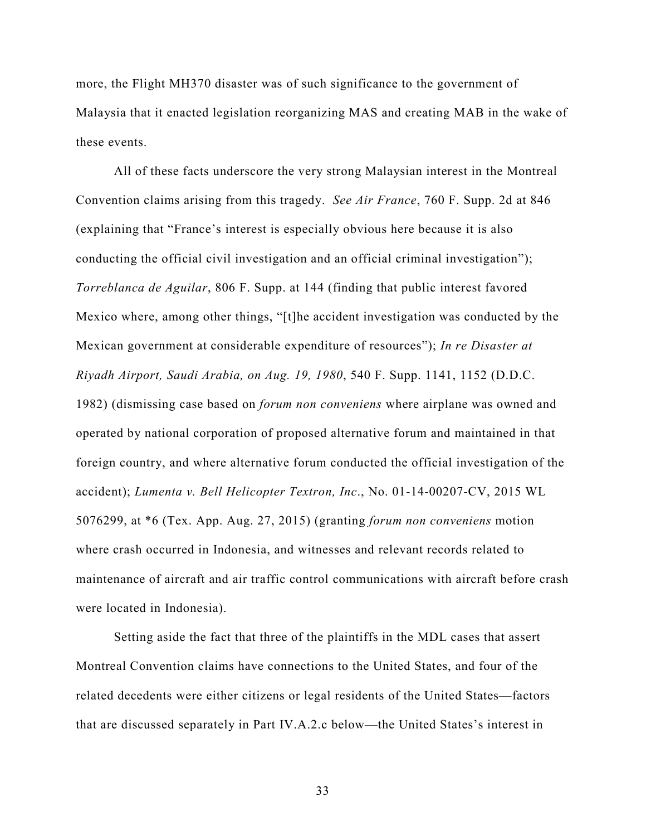more, the Flight MH370 disaster was of such significance to the government of Malaysia that it enacted legislation reorganizing MAS and creating MAB in the wake of these events.

All of these facts underscore the very strong Malaysian interest in the Montreal Convention claims arising from this tragedy. *See Air France*, 760 F. Supp. 2d at 846 (explaining that "France's interest is especially obvious here because it is also conducting the official civil investigation and an official criminal investigation"); *Torreblanca de Aguilar*, 806 F. Supp. at 144 (finding that public interest favored Mexico where, among other things, "[t]he accident investigation was conducted by the Mexican government at considerable expenditure of resources"); *In re Disaster at Riyadh Airport, Saudi Arabia, on Aug. 19, 1980*, 540 F. Supp. 1141, 1152 (D.D.C. 1982) (dismissing case based on *forum non conveniens* where airplane was owned and operated by national corporation of proposed alternative forum and maintained in that foreign country, and where alternative forum conducted the official investigation of the accident); *Lumenta v. Bell Helicopter Textron, Inc*., No. 01-14-00207-CV, 2015 WL 5076299, at \*6 (Tex. App. Aug. 27, 2015) (granting *forum non conveniens* motion where crash occurred in Indonesia, and witnesses and relevant records related to maintenance of aircraft and air traffic control communications with aircraft before crash were located in Indonesia).

Setting aside the fact that three of the plaintiffs in the MDL cases that assert Montreal Convention claims have connections to the United States, and four of the related decedents were either citizens or legal residents of the United States—factors that are discussed separately in Part IV.A.2.c below—the United States's interest in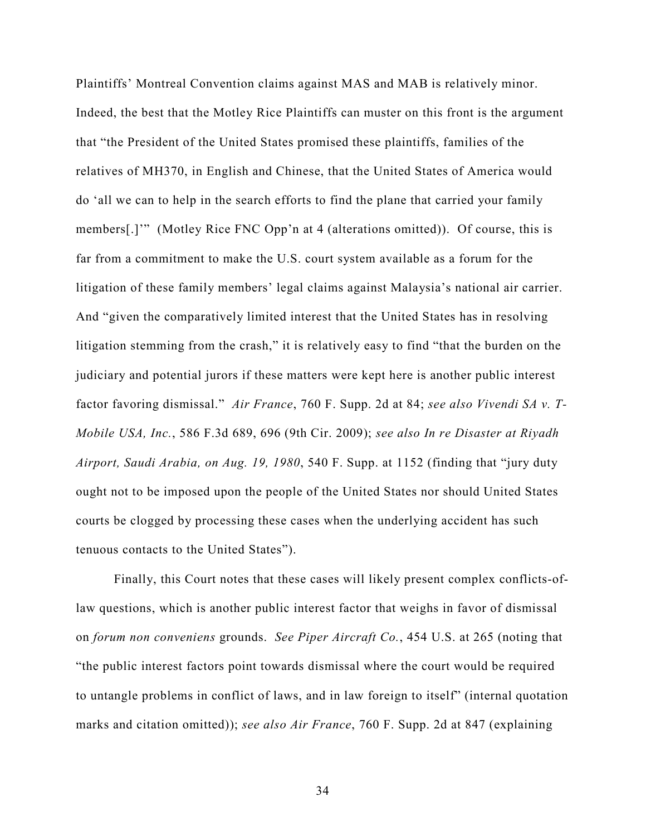Plaintiffs' Montreal Convention claims against MAS and MAB is relatively minor. Indeed, the best that the Motley Rice Plaintiffs can muster on this front is the argument that "the President of the United States promised these plaintiffs, families of the relatives of MH370, in English and Chinese, that the United States of America would do 'all we can to help in the search efforts to find the plane that carried your family members[.]'" (Motley Rice FNC Opp'n at 4 (alterations omitted)). Of course, this is far from a commitment to make the U.S. court system available as a forum for the litigation of these family members' legal claims against Malaysia's national air carrier. And "given the comparatively limited interest that the United States has in resolving litigation stemming from the crash," it is relatively easy to find "that the burden on the judiciary and potential jurors if these matters were kept here is another public interest factor favoring dismissal." *Air France*, 760 F. Supp. 2d at 84; *see also Vivendi SA v. T-Mobile USA, Inc.*, 586 F.3d 689, 696 (9th Cir. 2009); *see also In re Disaster at Riyadh Airport, Saudi Arabia, on Aug. 19, 1980*, 540 F. Supp. at 1152 (finding that "jury duty ought not to be imposed upon the people of the United States nor should United States courts be clogged by processing these cases when the underlying accident has such tenuous contacts to the United States").

Finally, this Court notes that these cases will likely present complex conflicts-oflaw questions, which is another public interest factor that weighs in favor of dismissal on *forum non conveniens* grounds. *See Piper Aircraft Co.*, 454 U.S. at 265 (noting that "the public interest factors point towards dismissal where the court would be required to untangle problems in conflict of laws, and in law foreign to itself" (internal quotation marks and citation omitted)); *see also Air France*, 760 F. Supp. 2d at 847 (explaining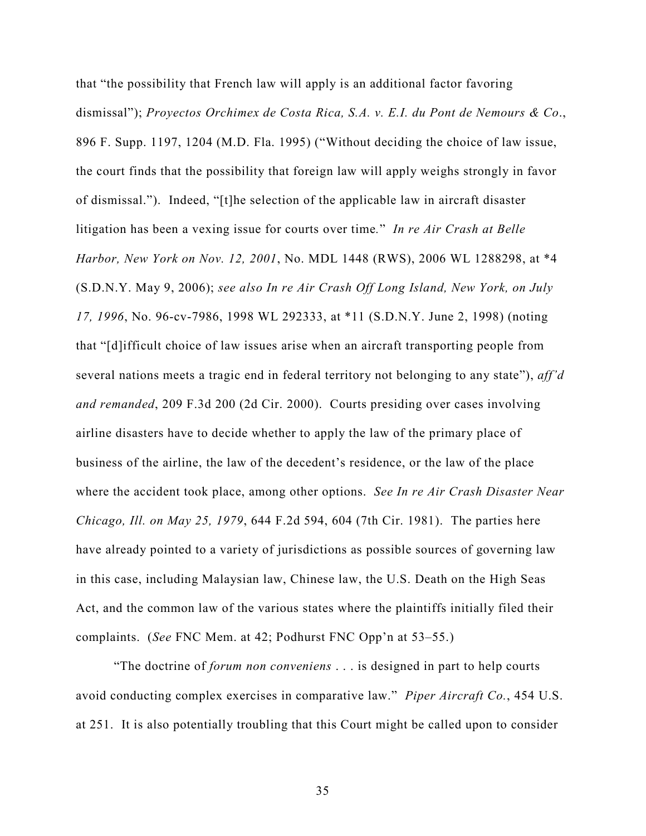that "the possibility that French law will apply is an additional factor favoring dismissal"); *Proyectos Orchimex de Costa Rica, S.A. v. E.I. du Pont de Nemours & Co*., 896 F. Supp. 1197, 1204 (M.D. Fla. 1995) ("Without deciding the choice of law issue, the court finds that the possibility that foreign law will apply weighs strongly in favor of dismissal."). Indeed, "[t]he selection of the applicable law in aircraft disaster litigation has been a vexing issue for courts over time*.*" *In re Air Crash at Belle Harbor, New York on Nov. 12, 2001*, No. MDL 1448 (RWS), 2006 WL 1288298, at \*4 (S.D.N.Y. May 9, 2006); *see also In re Air Crash Off Long Island, New York, on July 17, 1996*, No. 96-cv-7986, 1998 WL 292333, at \*11 (S.D.N.Y. June 2, 1998) (noting that "[d]ifficult choice of law issues arise when an aircraft transporting people from several nations meets a tragic end in federal territory not belonging to any state"), *aff'd and remanded*, 209 F.3d 200 (2d Cir. 2000). Courts presiding over cases involving airline disasters have to decide whether to apply the law of the primary place of business of the airline, the law of the decedent's residence, or the law of the place where the accident took place, among other options. *See In re Air Crash Disaster Near Chicago, Ill. on May 25, 1979*, 644 F.2d 594, 604 (7th Cir. 1981). The parties here have already pointed to a variety of jurisdictions as possible sources of governing law in this case, including Malaysian law, Chinese law, the U.S. Death on the High Seas Act, and the common law of the various states where the plaintiffs initially filed their complaints. (*See* FNC Mem. at 42; Podhurst FNC Opp'n at 53–55.)

"The doctrine of *forum non conveniens* . . . is designed in part to help courts avoid conducting complex exercises in comparative law." *Piper Aircraft Co.*, 454 U.S. at 251. It is also potentially troubling that this Court might be called upon to consider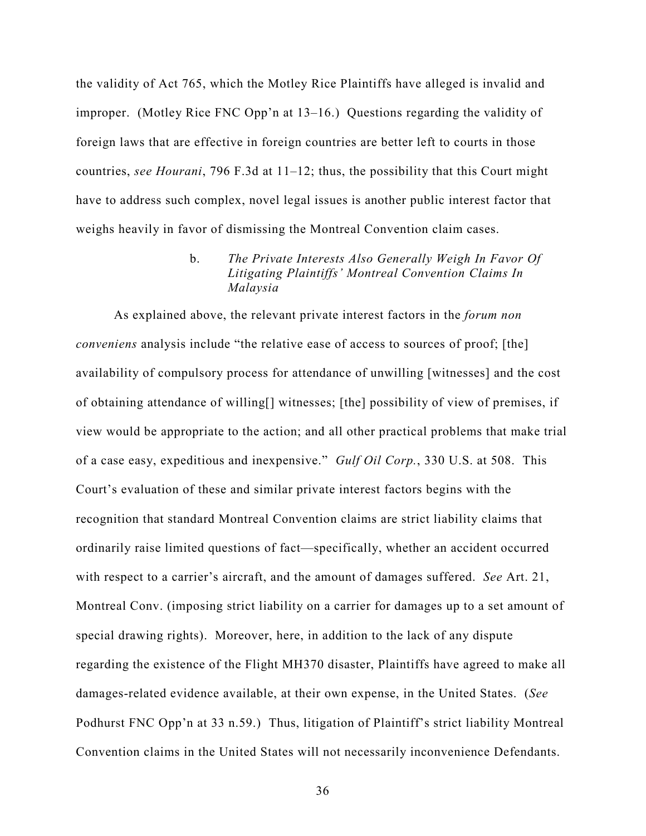the validity of Act 765, which the Motley Rice Plaintiffs have alleged is invalid and improper. (Motley Rice FNC Opp'n at 13–16.) Questions regarding the validity of foreign laws that are effective in foreign countries are better left to courts in those countries, *see Hourani*, 796 F.3d at 11–12; thus, the possibility that this Court might have to address such complex, novel legal issues is another public interest factor that weighs heavily in favor of dismissing the Montreal Convention claim cases.

# b. *The Private Interests Also Generally Weigh In Favor Of Litigating Plaintiffs' Montreal Convention Claims In Malaysia*

As explained above, the relevant private interest factors in the *forum non conveniens* analysis include "the relative ease of access to sources of proof; [the] availability of compulsory process for attendance of unwilling [witnesses] and the cost of obtaining attendance of willing[] witnesses; [the] possibility of view of premises, if view would be appropriate to the action; and all other practical problems that make trial of a case easy, expeditious and inexpensive." *Gulf Oil Corp.*, 330 U.S. at 508. This Court's evaluation of these and similar private interest factors begins with the recognition that standard Montreal Convention claims are strict liability claims that ordinarily raise limited questions of fact—specifically, whether an accident occurred with respect to a carrier's aircraft, and the amount of damages suffered. *See* Art. 21, Montreal Conv. (imposing strict liability on a carrier for damages up to a set amount of special drawing rights). Moreover, here, in addition to the lack of any dispute regarding the existence of the Flight MH370 disaster, Plaintiffs have agreed to make all damages-related evidence available, at their own expense, in the United States. (*See*  Podhurst FNC Opp'n at 33 n.59.) Thus, litigation of Plaintiff's strict liability Montreal Convention claims in the United States will not necessarily inconvenience Defendants.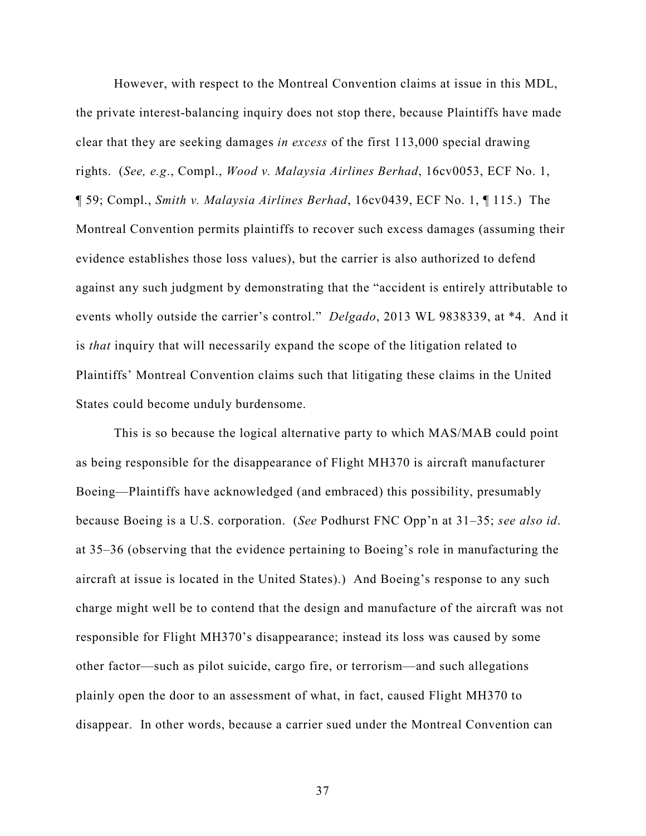However, with respect to the Montreal Convention claims at issue in this MDL, the private interest-balancing inquiry does not stop there, because Plaintiffs have made clear that they are seeking damages *in excess* of the first 113,000 special drawing rights. (*See, e.g*., Compl., *Wood v. Malaysia Airlines Berhad*, 16cv0053, ECF No. 1, ¶ 59; Compl., *Smith v. Malaysia Airlines Berhad*, 16cv0439, ECF No. 1, ¶ 115.) The Montreal Convention permits plaintiffs to recover such excess damages (assuming their evidence establishes those loss values), but the carrier is also authorized to defend against any such judgment by demonstrating that the "accident is entirely attributable to events wholly outside the carrier's control." *Delgado*, 2013 WL 9838339, at \*4. And it is *that* inquiry that will necessarily expand the scope of the litigation related to Plaintiffs' Montreal Convention claims such that litigating these claims in the United States could become unduly burdensome.

This is so because the logical alternative party to which MAS/MAB could point as being responsible for the disappearance of Flight MH370 is aircraft manufacturer Boeing—Plaintiffs have acknowledged (and embraced) this possibility, presumably because Boeing is a U.S. corporation. (*See* Podhurst FNC Opp'n at 31–35; *see also id*. at 35–36 (observing that the evidence pertaining to Boeing's role in manufacturing the aircraft at issue is located in the United States).) And Boeing's response to any such charge might well be to contend that the design and manufacture of the aircraft was not responsible for Flight MH370's disappearance; instead its loss was caused by some other factor—such as pilot suicide, cargo fire, or terrorism—and such allegations plainly open the door to an assessment of what, in fact, caused Flight MH370 to disappear. In other words, because a carrier sued under the Montreal Convention can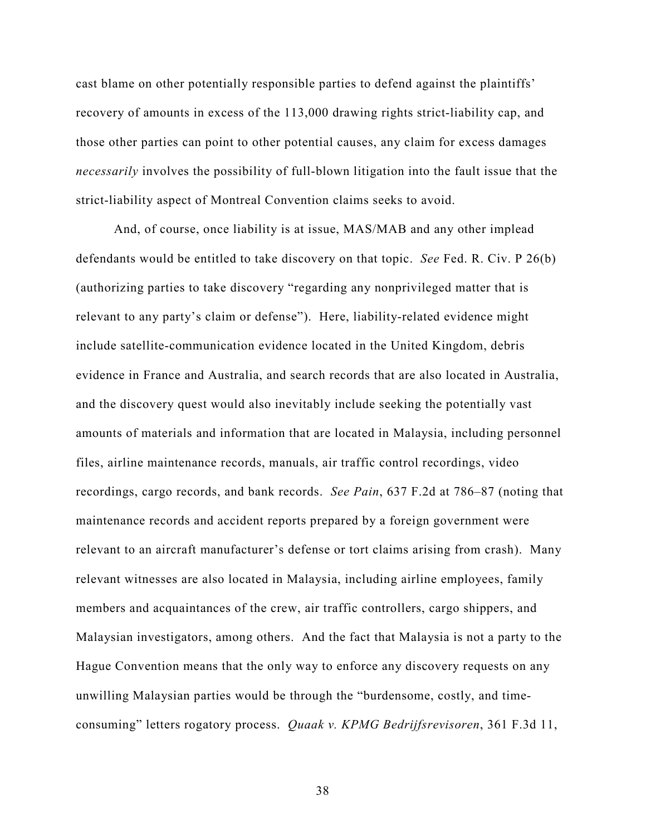cast blame on other potentially responsible parties to defend against the plaintiffs' recovery of amounts in excess of the 113,000 drawing rights strict-liability cap, and those other parties can point to other potential causes, any claim for excess damages *necessarily* involves the possibility of full-blown litigation into the fault issue that the strict-liability aspect of Montreal Convention claims seeks to avoid.

And, of course, once liability is at issue, MAS/MAB and any other implead defendants would be entitled to take discovery on that topic. *See* Fed. R. Civ. P 26(b) (authorizing parties to take discovery "regarding any nonprivileged matter that is relevant to any party's claim or defense"). Here, liability-related evidence might include satellite-communication evidence located in the United Kingdom, debris evidence in France and Australia, and search records that are also located in Australia, and the discovery quest would also inevitably include seeking the potentially vast amounts of materials and information that are located in Malaysia, including personnel files, airline maintenance records, manuals, air traffic control recordings, video recordings, cargo records, and bank records. *See Pain*, 637 F.2d at 786–87 (noting that maintenance records and accident reports prepared by a foreign government were relevant to an aircraft manufacturer's defense or tort claims arising from crash). Many relevant witnesses are also located in Malaysia, including airline employees, family members and acquaintances of the crew, air traffic controllers, cargo shippers, and Malaysian investigators, among others. And the fact that Malaysia is not a party to the Hague Convention means that the only way to enforce any discovery requests on any unwilling Malaysian parties would be through the "burdensome, costly, and timeconsuming" letters rogatory process. *Quaak v. KPMG Bedrijfsrevisoren*, 361 F.3d 11,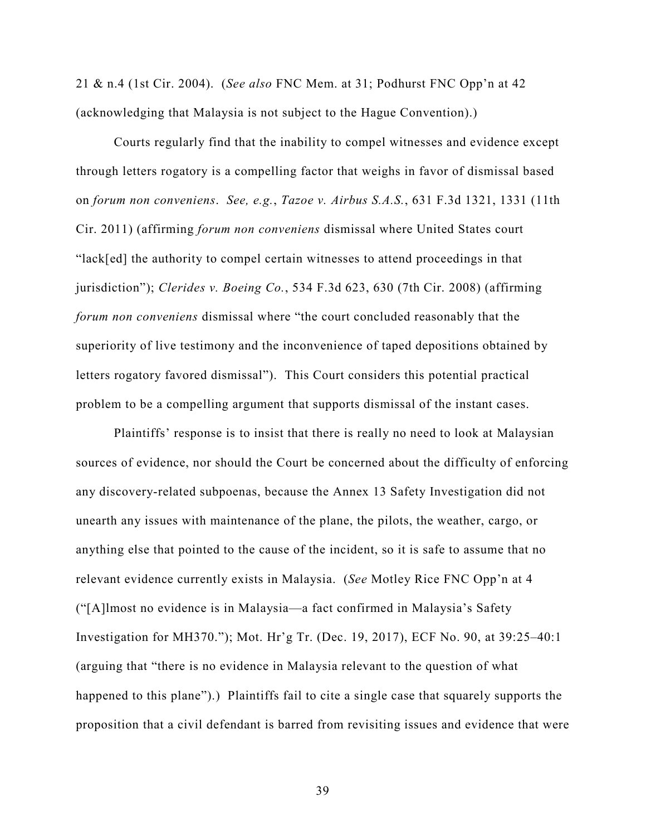21 & n.4 (1st Cir. 2004). (*See also* FNC Mem. at 31; Podhurst FNC Opp'n at 42 (acknowledging that Malaysia is not subject to the Hague Convention).)

Courts regularly find that the inability to compel witnesses and evidence except through letters rogatory is a compelling factor that weighs in favor of dismissal based on *forum non conveniens*. *See, e.g.*, *Tazoe v. Airbus S.A.S.*, 631 F.3d 1321, 1331 (11th Cir. 2011) (affirming *forum non conveniens* dismissal where United States court "lack[ed] the authority to compel certain witnesses to attend proceedings in that jurisdiction"); *Clerides v. Boeing Co.*, 534 F.3d 623, 630 (7th Cir. 2008) (affirming *forum non conveniens* dismissal where "the court concluded reasonably that the superiority of live testimony and the inconvenience of taped depositions obtained by letters rogatory favored dismissal"). This Court considers this potential practical problem to be a compelling argument that supports dismissal of the instant cases.

Plaintiffs' response is to insist that there is really no need to look at Malaysian sources of evidence, nor should the Court be concerned about the difficulty of enforcing any discovery-related subpoenas, because the Annex 13 Safety Investigation did not unearth any issues with maintenance of the plane, the pilots, the weather, cargo, or anything else that pointed to the cause of the incident, so it is safe to assume that no relevant evidence currently exists in Malaysia. (*See* Motley Rice FNC Opp'n at 4 ("[A]lmost no evidence is in Malaysia—a fact confirmed in Malaysia's Safety Investigation for MH370."); Mot. Hr'g Tr. (Dec. 19, 2017), ECF No. 90, at 39:25–40:1 (arguing that "there is no evidence in Malaysia relevant to the question of what happened to this plane").) Plaintiffs fail to cite a single case that squarely supports the proposition that a civil defendant is barred from revisiting issues and evidence that were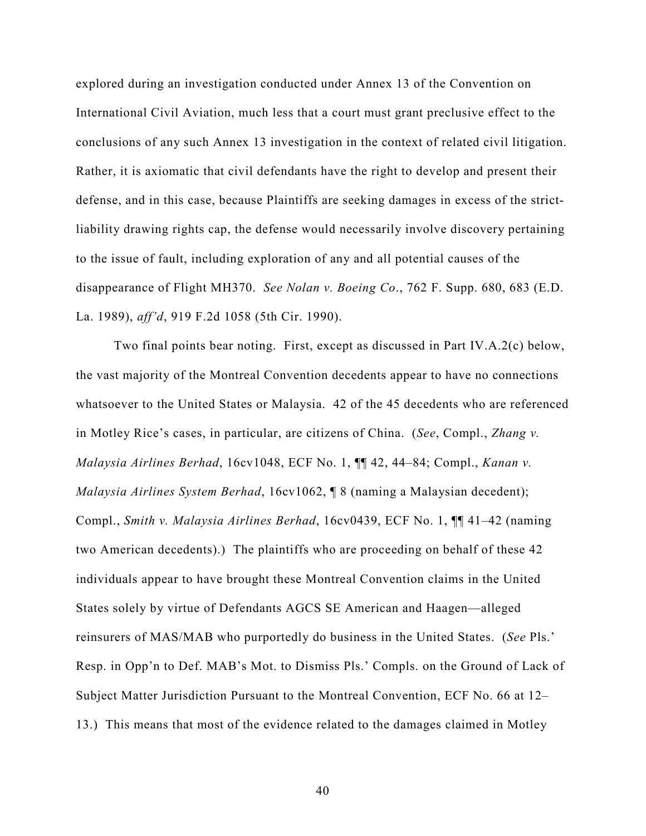explored during an investigation conducted under Annex 13 of the Convention on International Civil Aviation, much less that a court must grant preclusive effect to the conclusions of any such Annex 13 investigation in the context of related civil litigation. Rather, it is axiomatic that civil defendants have the right to develop and present their defense, and in this case, because Plaintiffs are seeking damages in excess of the strictliability drawing rights cap, the defense would necessarily involve discovery pertaining to the issue of fault, including exploration of any and all potential causes of the disappearance of Flight MH370. *See Nolan v. Boeing Co*., 762 F. Supp. 680, 683 (E.D. La. 1989), *aff'd*, 919 F.2d 1058 (5th Cir. 1990).

Two final points bear noting. First, except as discussed in Part IV.A.2(c) below, the vast majority of the Montreal Convention decedents appear to have no connections whatsoever to the United States or Malaysia. 42 of the 45 decedents who are referenced in Motley Rice's cases, in particular, are citizens of China. (*See*, Compl., *Zhang v. Malaysia Airlines Berhad*, 16cv1048, ECF No. 1, ¶¶ 42, 44–84; Compl., *Kanan v. Malaysia Airlines System Berhad*, 16cv1062, ¶ 8 (naming a Malaysian decedent); Compl., *Smith v. Malaysia Airlines Berhad*, 16cv0439, ECF No. 1, ¶¶ 41–42 (naming two American decedents).) The plaintiffs who are proceeding on behalf of these 42 individuals appear to have brought these Montreal Convention claims in the United States solely by virtue of Defendants AGCS SE American and Haagen—alleged reinsurers of MAS/MAB who purportedly do business in the United States. (*See* Pls.' Resp. in Opp'n to Def. MAB's Mot. to Dismiss Pls.' Compls. on the Ground of Lack of Subject Matter Jurisdiction Pursuant to the Montreal Convention, ECF No. 66 at 12– 13.) This means that most of the evidence related to the damages claimed in Motley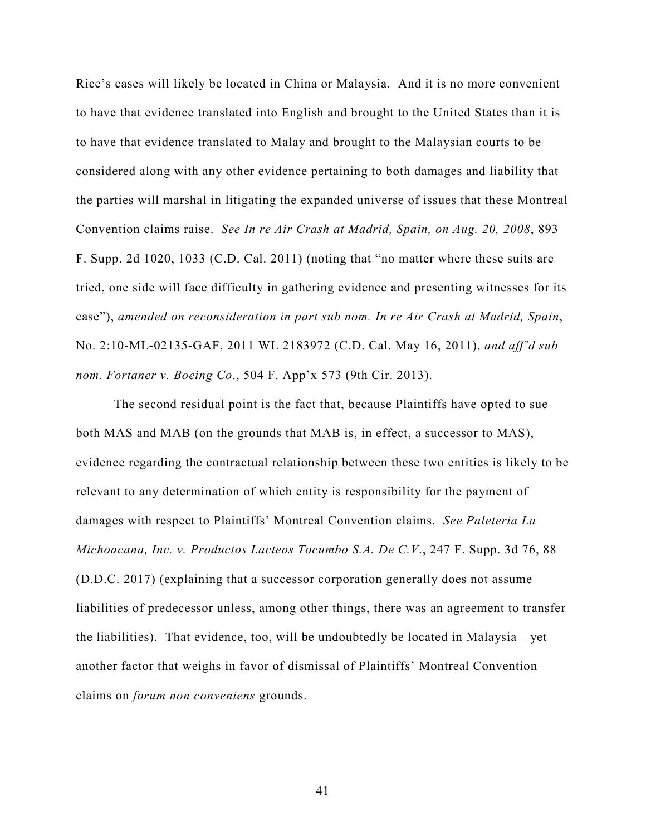Rice's cases will likely be located in China or Malaysia. And it is no more convenient to have that evidence translated into English and brought to the United States than it is to have that evidence translated to Malay and brought to the Malaysian courts to be considered along with any other evidence pertaining to both damages and liability that the parties will marshal in litigating the expanded universe of issues that these Montreal Convention claims raise. *See In re Air Crash at Madrid, Spain, on Aug. 20, 2008*, 893 F. Supp. 2d 1020, 1033 (C.D. Cal. 2011) (noting that "no matter where these suits are tried, one side will face difficulty in gathering evidence and presenting witnesses for its case"), *amended on reconsideration in part sub nom. In re Air Crash at Madrid, Spain*, No. 2:10-ML-02135-GAF, 2011 WL 2183972 (C.D. Cal. May 16, 2011), *and aff'd sub nom. Fortaner v. Boeing Co*., 504 F. App'x 573 (9th Cir. 2013).

The second residual point is the fact that, because Plaintiffs have opted to sue both MAS and MAB (on the grounds that MAB is, in effect, a successor to MAS), evidence regarding the contractual relationship between these two entities is likely to be relevant to any determination of which entity is responsibility for the payment of damages with respect to Plaintiffs' Montreal Convention claims. *See Paleteria La Michoacana, Inc. v. Productos Lacteos Tocumbo S.A. De C.V*., 247 F. Supp. 3d 76, 88 (D.D.C. 2017) (explaining that a successor corporation generally does not assume liabilities of predecessor unless, among other things, there was an agreement to transfer the liabilities). That evidence, too, will be undoubtedly be located in Malaysia—yet another factor that weighs in favor of dismissal of Plaintiffs' Montreal Convention claims on *forum non conveniens* grounds.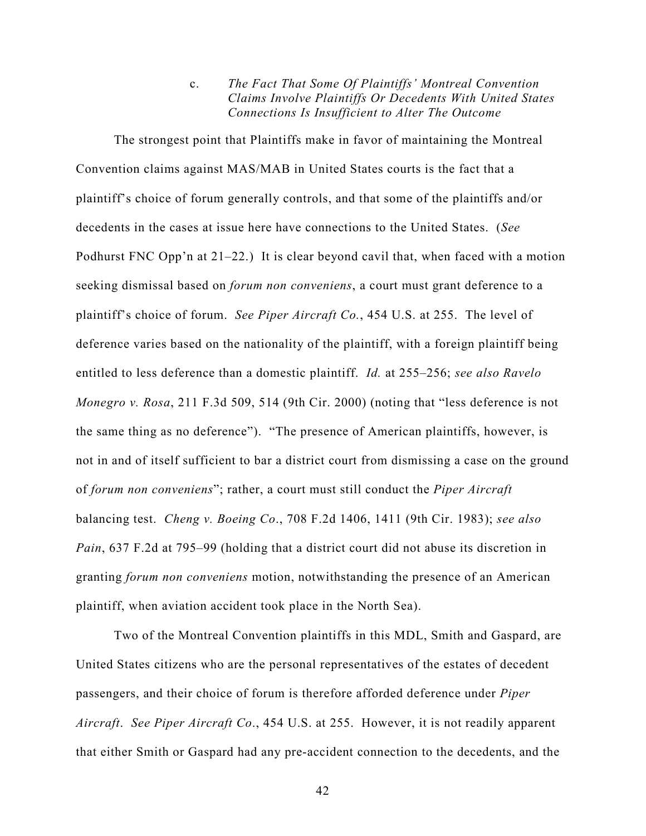c. *The Fact That Some Of Plaintiffs' Montreal Convention Claims Involve Plaintiffs Or Decedents With United States Connections Is Insufficient to Alter The Outcome*

The strongest point that Plaintiffs make in favor of maintaining the Montreal Convention claims against MAS/MAB in United States courts is the fact that a plaintiff's choice of forum generally controls, and that some of the plaintiffs and/or decedents in the cases at issue here have connections to the United States. (*See*  Podhurst FNC Opp'n at 21–22.) It is clear beyond cavil that, when faced with a motion seeking dismissal based on *forum non conveniens*, a court must grant deference to a plaintiff's choice of forum. *See Piper Aircraft Co.*, 454 U.S. at 255. The level of deference varies based on the nationality of the plaintiff, with a foreign plaintiff being entitled to less deference than a domestic plaintiff. *Id.* at 255–256; *see also Ravelo Monegro v. Rosa*, 211 F.3d 509, 514 (9th Cir. 2000) (noting that "less deference is not the same thing as no deference"). "The presence of American plaintiffs, however, is not in and of itself sufficient to bar a district court from dismissing a case on the ground of *forum non conveniens*"; rather, a court must still conduct the *Piper Aircraft* balancing test. *Cheng v. Boeing Co*., 708 F.2d 1406, 1411 (9th Cir. 1983); *see also Pain*, 637 F.2d at 795–99 (holding that a district court did not abuse its discretion in granting *forum non conveniens* motion, notwithstanding the presence of an American plaintiff, when aviation accident took place in the North Sea).

Two of the Montreal Convention plaintiffs in this MDL, Smith and Gaspard, are United States citizens who are the personal representatives of the estates of decedent passengers, and their choice of forum is therefore afforded deference under *Piper Aircraft*. *See Piper Aircraft Co*., 454 U.S. at 255. However, it is not readily apparent that either Smith or Gaspard had any pre-accident connection to the decedents, and the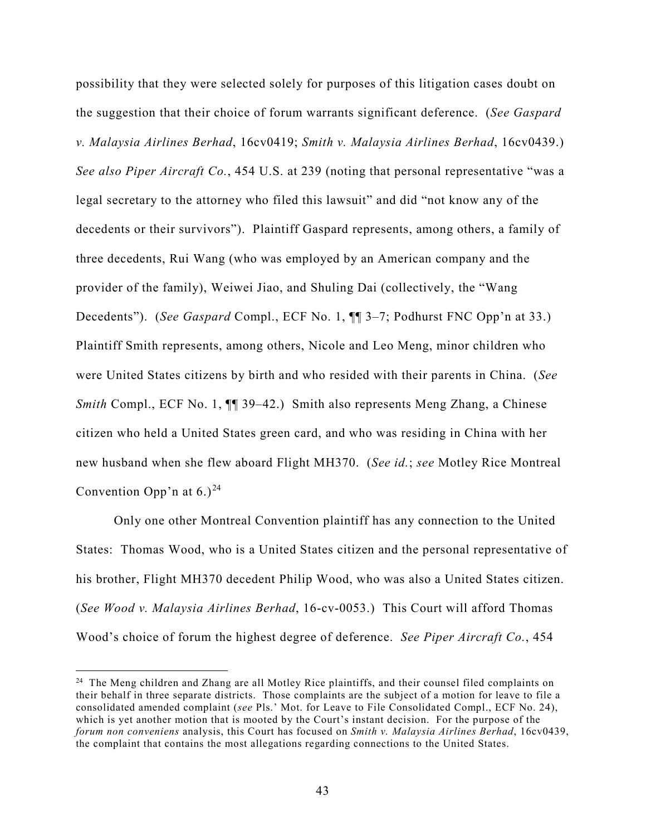possibility that they were selected solely for purposes of this litigation cases doubt on the suggestion that their choice of forum warrants significant deference. (*See Gaspard v. Malaysia Airlines Berhad*, 16cv0419; *Smith v. Malaysia Airlines Berhad*, 16cv0439.) *See also Piper Aircraft Co.*, 454 U.S. at 239 (noting that personal representative "was a legal secretary to the attorney who filed this lawsuit" and did "not know any of the decedents or their survivors"). Plaintiff Gaspard represents, among others, a family of three decedents, Rui Wang (who was employed by an American company and the provider of the family), Weiwei Jiao, and Shuling Dai (collectively, the "Wang Decedents"). (*See Gaspard* Compl., ECF No. 1, ¶¶ 3–7; Podhurst FNC Opp'n at 33.) Plaintiff Smith represents, among others, Nicole and Leo Meng, minor children who were United States citizens by birth and who resided with their parents in China. (*See Smith* Compl., ECF No. 1,  $\P$  39–42.) Smith also represents Meng Zhang, a Chinese citizen who held a United States green card, and who was residing in China with her new husband when she flew aboard Flight MH370. (*See id.*; *see* Motley Rice Montreal Convention Opp'n at  $6.$ )<sup>[24](#page-42-0)</sup>

Only one other Montreal Convention plaintiff has any connection to the United States: Thomas Wood, who is a United States citizen and the personal representative of his brother, Flight MH370 decedent Philip Wood, who was also a United States citizen. (*See Wood v. Malaysia Airlines Berhad*, 16-cv-0053.) This Court will afford Thomas Wood's choice of forum the highest degree of deference. *See Piper Aircraft Co.*, 454

<span id="page-42-0"></span><sup>&</sup>lt;sup>24</sup> The Meng children and Zhang are all Motley Rice plaintiffs, and their counsel filed complaints on their behalf in three separate districts. Those complaints are the subject of a motion for leave to file a consolidated amended complaint (*see* Pls.' Mot. for Leave to File Consolidated Compl., ECF No. 24), which is yet another motion that is mooted by the Court's instant decision. For the purpose of the *forum non conveniens* analysis, this Court has focused on *Smith v. Malaysia Airlines Berhad*, 16cv0439, the complaint that contains the most allegations regarding connections to the United States.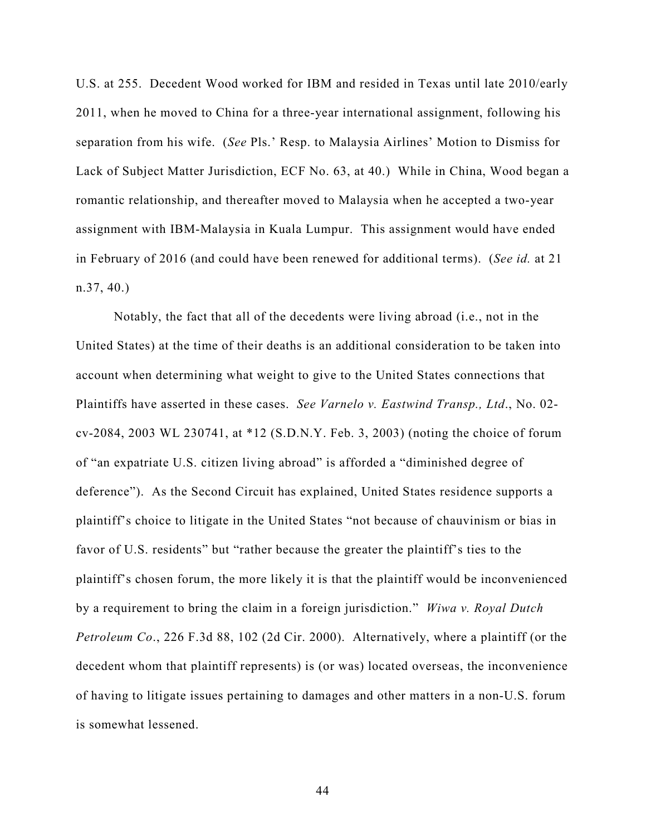U.S. at 255. Decedent Wood worked for IBM and resided in Texas until late 2010/early 2011, when he moved to China for a three-year international assignment, following his separation from his wife. (*See* Pls.' Resp. to Malaysia Airlines' Motion to Dismiss for Lack of Subject Matter Jurisdiction, ECF No. 63, at 40.) While in China, Wood began a romantic relationship, and thereafter moved to Malaysia when he accepted a two-year assignment with IBM-Malaysia in Kuala Lumpur. This assignment would have ended in February of 2016 (and could have been renewed for additional terms). (*See id.* at 21 n.37, 40.)

Notably, the fact that all of the decedents were living abroad (i.e., not in the United States) at the time of their deaths is an additional consideration to be taken into account when determining what weight to give to the United States connections that Plaintiffs have asserted in these cases. *See Varnelo v. Eastwind Transp., Ltd*., No. 02 cv-2084, 2003 WL 230741, at \*12 (S.D.N.Y. Feb. 3, 2003) (noting the choice of forum of "an expatriate U.S. citizen living abroad" is afforded a "diminished degree of deference"). As the Second Circuit has explained, United States residence supports a plaintiff's choice to litigate in the United States "not because of chauvinism or bias in favor of U.S. residents" but "rather because the greater the plaintiff's ties to the plaintiff's chosen forum, the more likely it is that the plaintiff would be inconvenienced by a requirement to bring the claim in a foreign jurisdiction." *Wiwa v. Royal Dutch Petroleum Co*., 226 F.3d 88, 102 (2d Cir. 2000). Alternatively, where a plaintiff (or the decedent whom that plaintiff represents) is (or was) located overseas, the inconvenience of having to litigate issues pertaining to damages and other matters in a non-U.S. forum is somewhat lessened.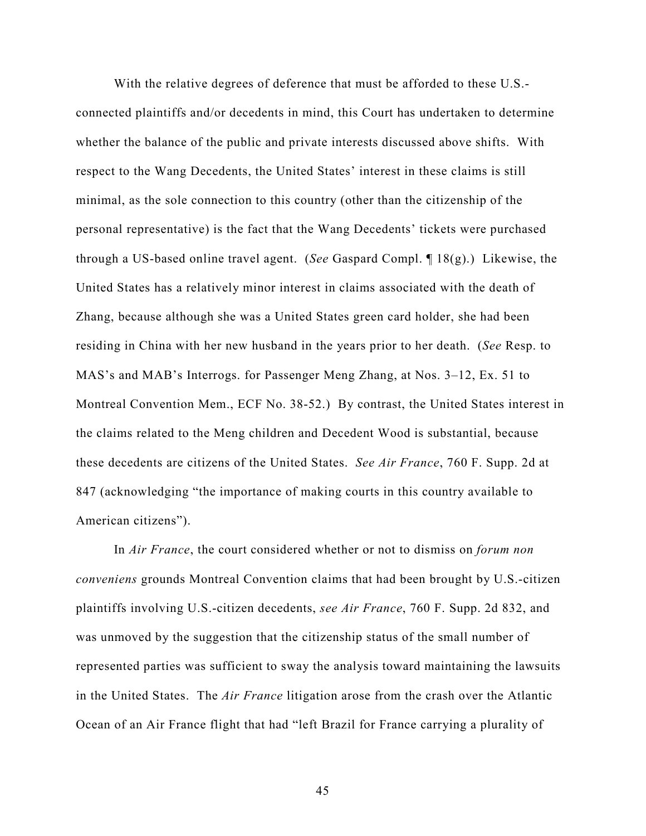With the relative degrees of deference that must be afforded to these U.S. connected plaintiffs and/or decedents in mind, this Court has undertaken to determine whether the balance of the public and private interests discussed above shifts. With respect to the Wang Decedents, the United States' interest in these claims is still minimal, as the sole connection to this country (other than the citizenship of the personal representative) is the fact that the Wang Decedents' tickets were purchased through a US-based online travel agent. (*See* Gaspard Compl. ¶ 18(g).) Likewise, the United States has a relatively minor interest in claims associated with the death of Zhang, because although she was a United States green card holder, she had been residing in China with her new husband in the years prior to her death. (*See* Resp. to MAS's and MAB's Interrogs. for Passenger Meng Zhang, at Nos. 3–12, Ex. 51 to Montreal Convention Mem., ECF No. 38-52.) By contrast, the United States interest in the claims related to the Meng children and Decedent Wood is substantial, because these decedents are citizens of the United States. *See Air France*, 760 F. Supp. 2d at 847 (acknowledging "the importance of making courts in this country available to American citizens").

In *Air France*, the court considered whether or not to dismiss on *forum non conveniens* grounds Montreal Convention claims that had been brought by U.S.-citizen plaintiffs involving U.S.-citizen decedents, *see Air France*, 760 F. Supp. 2d 832, and was unmoved by the suggestion that the citizenship status of the small number of represented parties was sufficient to sway the analysis toward maintaining the lawsuits in the United States. The *Air France* litigation arose from the crash over the Atlantic Ocean of an Air France flight that had "left Brazil for France carrying a plurality of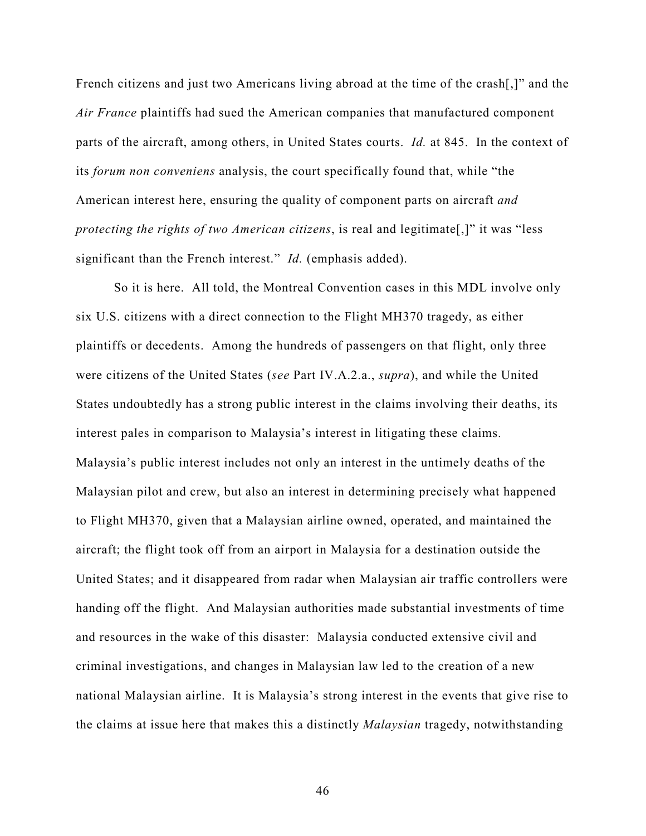French citizens and just two Americans living abroad at the time of the crash[,]" and the *Air France* plaintiffs had sued the American companies that manufactured component parts of the aircraft, among others, in United States courts. *Id.* at 845.In the context of its *forum non conveniens* analysis, the court specifically found that, while "the American interest here, ensuring the quality of component parts on aircraft *and protecting the rights of two American citizens*, is real and legitimate[,]" it was "less significant than the French interest." *Id.* (emphasis added).

So it is here. All told, the Montreal Convention cases in this MDL involve only six U.S. citizens with a direct connection to the Flight MH370 tragedy, as either plaintiffs or decedents. Among the hundreds of passengers on that flight, only three were citizens of the United States (*see* Part IV.A.2.a., *supra*), and while the United States undoubtedly has a strong public interest in the claims involving their deaths, its interest pales in comparison to Malaysia's interest in litigating these claims. Malaysia's public interest includes not only an interest in the untimely deaths of the Malaysian pilot and crew, but also an interest in determining precisely what happened to Flight MH370, given that a Malaysian airline owned, operated, and maintained the aircraft; the flight took off from an airport in Malaysia for a destination outside the United States; and it disappeared from radar when Malaysian air traffic controllers were handing off the flight. And Malaysian authorities made substantial investments of time and resources in the wake of this disaster: Malaysia conducted extensive civil and criminal investigations, and changes in Malaysian law led to the creation of a new national Malaysian airline. It is Malaysia's strong interest in the events that give rise to the claims at issue here that makes this a distinctly *Malaysian* tragedy, notwithstanding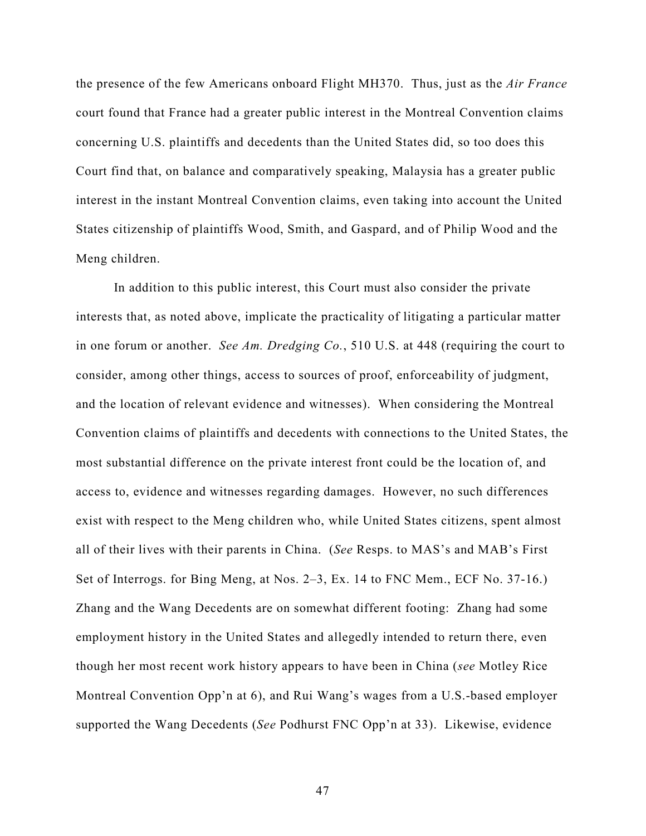the presence of the few Americans onboard Flight MH370. Thus, just as the *Air France*  court found that France had a greater public interest in the Montreal Convention claims concerning U.S. plaintiffs and decedents than the United States did, so too does this Court find that, on balance and comparatively speaking, Malaysia has a greater public interest in the instant Montreal Convention claims, even taking into account the United States citizenship of plaintiffs Wood, Smith, and Gaspard, and of Philip Wood and the Meng children.

In addition to this public interest, this Court must also consider the private interests that, as noted above, implicate the practicality of litigating a particular matter in one forum or another. *See Am. Dredging Co.*, 510 U.S. at 448 (requiring the court to consider, among other things, access to sources of proof, enforceability of judgment, and the location of relevant evidence and witnesses). When considering the Montreal Convention claims of plaintiffs and decedents with connections to the United States, the most substantial difference on the private interest front could be the location of, and access to, evidence and witnesses regarding damages. However, no such differences exist with respect to the Meng children who, while United States citizens, spent almost all of their lives with their parents in China. (*See* Resps. to MAS's and MAB's First Set of Interrogs. for Bing Meng, at Nos. 2–3, Ex. 14 to FNC Mem., ECF No. 37-16.) Zhang and the Wang Decedents are on somewhat different footing: Zhang had some employment history in the United States and allegedly intended to return there, even though her most recent work history appears to have been in China (*see* Motley Rice Montreal Convention Opp'n at 6), and Rui Wang's wages from a U.S.-based employer supported the Wang Decedents (*See* Podhurst FNC Opp'n at 33). Likewise, evidence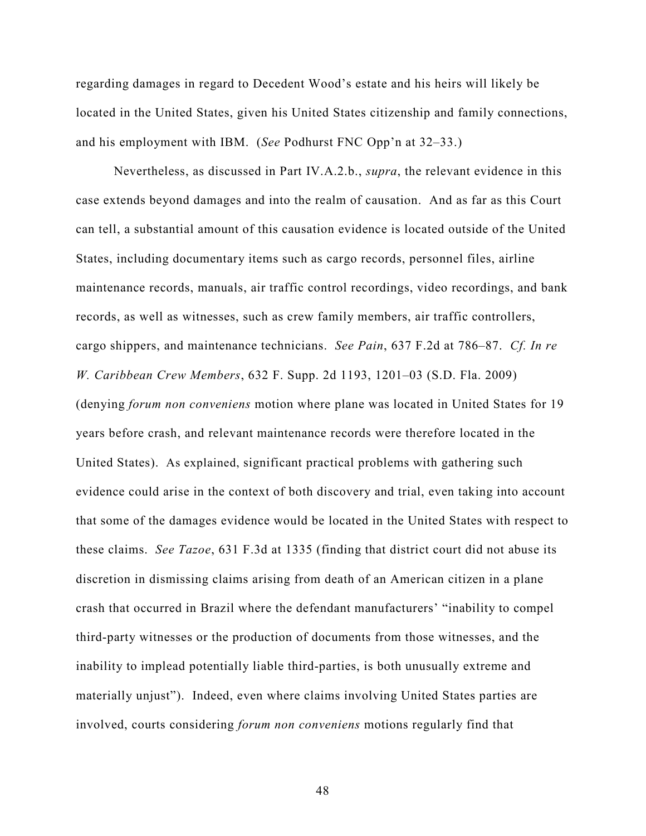regarding damages in regard to Decedent Wood's estate and his heirs will likely be located in the United States, given his United States citizenship and family connections, and his employment with IBM. (*See* Podhurst FNC Opp'n at 32–33.)

Nevertheless, as discussed in Part IV.A.2.b., *supra*, the relevant evidence in this case extends beyond damages and into the realm of causation. And as far as this Court can tell, a substantial amount of this causation evidence is located outside of the United States, including documentary items such as cargo records, personnel files, airline maintenance records, manuals, air traffic control recordings, video recordings, and bank records, as well as witnesses, such as crew family members, air traffic controllers, cargo shippers, and maintenance technicians. *See Pain*, 637 F.2d at 786–87. *Cf. In re W. Caribbean Crew Members*, 632 F. Supp. 2d 1193, 1201–03 (S.D. Fla. 2009) (denying *forum non conveniens* motion where plane was located in United States for 19 years before crash, and relevant maintenance records were therefore located in the United States). As explained, significant practical problems with gathering such evidence could arise in the context of both discovery and trial, even taking into account that some of the damages evidence would be located in the United States with respect to these claims. *See Tazoe*, 631 F.3d at 1335 (finding that district court did not abuse its discretion in dismissing claims arising from death of an American citizen in a plane crash that occurred in Brazil where the defendant manufacturers' "inability to compel third-party witnesses or the production of documents from those witnesses, and the inability to implead potentially liable third-parties, is both unusually extreme and materially unjust"). Indeed, even where claims involving United States parties are involved, courts considering *forum non conveniens* motions regularly find that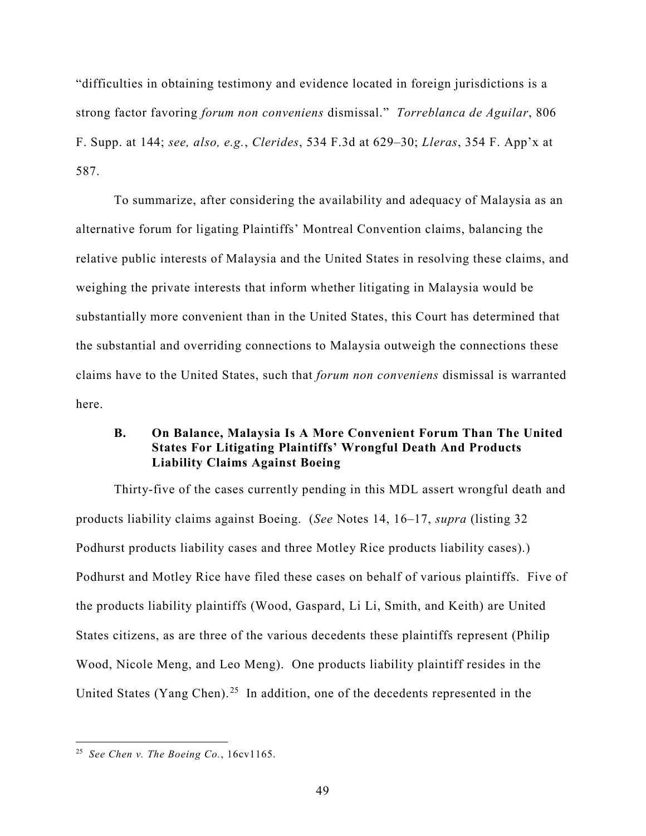"difficulties in obtaining testimony and evidence located in foreign jurisdictions is a strong factor favoring *forum non conveniens* dismissal." *Torreblanca de Aguilar*, 806 F. Supp. at 144; *see, also, e.g.*, *Clerides*, 534 F.3d at 629–30; *Lleras*, 354 F. App'x at 587.

To summarize, after considering the availability and adequacy of Malaysia as an alternative forum for ligating Plaintiffs' Montreal Convention claims, balancing the relative public interests of Malaysia and the United States in resolving these claims, and weighing the private interests that inform whether litigating in Malaysia would be substantially more convenient than in the United States, this Court has determined that the substantial and overriding connections to Malaysia outweigh the connections these claims have to the United States, such that *forum non conveniens* dismissal is warranted here.

# **B. On Balance, Malaysia Is A More Convenient Forum Than The United States For Litigating Plaintiffs' Wrongful Death And Products Liability Claims Against Boeing**

Thirty-five of the cases currently pending in this MDL assert wrongful death and products liability claims against Boeing. (*See* Notes 14, 16–17, *supra* (listing 32 Podhurst products liability cases and three Motley Rice products liability cases).) Podhurst and Motley Rice have filed these cases on behalf of various plaintiffs. Five of the products liability plaintiffs (Wood, Gaspard, Li Li, Smith, and Keith) are United States citizens, as are three of the various decedents these plaintiffs represent (Philip Wood, Nicole Meng, and Leo Meng). One products liability plaintiff resides in the United States (Yang Chen).<sup>[25](#page-48-0)</sup> In addition, one of the decedents represented in the

<span id="page-48-0"></span> 25 *See Chen v. The Boeing Co.*, 16cv1165.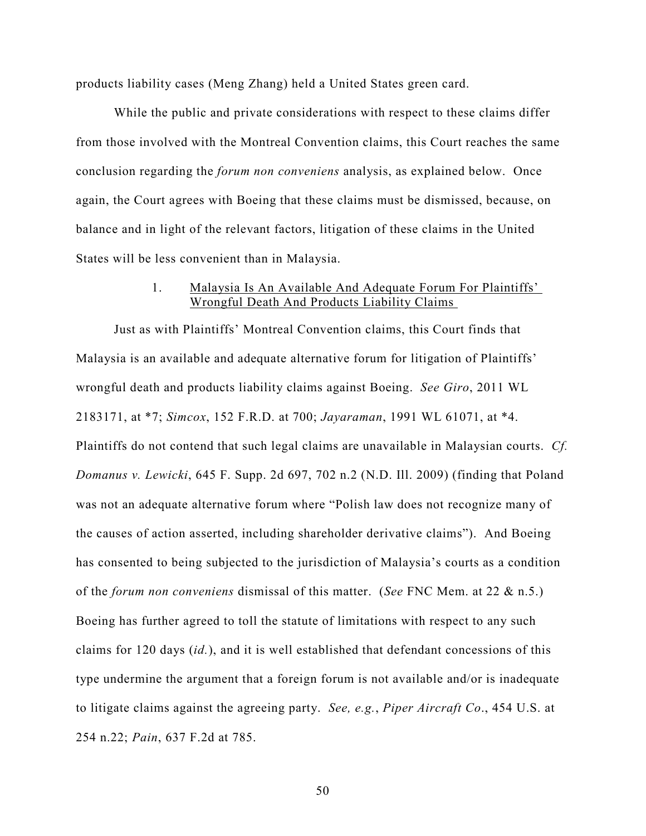products liability cases (Meng Zhang) held a United States green card.

While the public and private considerations with respect to these claims differ from those involved with the Montreal Convention claims, this Court reaches the same conclusion regarding the *forum non conveniens* analysis, as explained below. Once again, the Court agrees with Boeing that these claims must be dismissed, because, on balance and in light of the relevant factors, litigation of these claims in the United States will be less convenient than in Malaysia.

## 1. Malaysia Is An Available And Adequate Forum For Plaintiffs' Wrongful Death And Products Liability Claims

Just as with Plaintiffs' Montreal Convention claims, this Court finds that Malaysia is an available and adequate alternative forum for litigation of Plaintiffs' wrongful death and products liability claims against Boeing. *See Giro*, 2011 WL 2183171, at \*7; *Simcox*, 152 F.R.D. at 700; *Jayaraman*, 1991 WL 61071, at \*4. Plaintiffs do not contend that such legal claims are unavailable in Malaysian courts. *Cf. Domanus v. Lewicki*, 645 F. Supp. 2d 697, 702 n.2 (N.D. Ill. 2009) (finding that Poland was not an adequate alternative forum where "Polish law does not recognize many of the causes of action asserted, including shareholder derivative claims"). And Boeing has consented to being subjected to the jurisdiction of Malaysia's courts as a condition of the *forum non conveniens* dismissal of this matter. (*See* FNC Mem. at 22 & n.5.) Boeing has further agreed to toll the statute of limitations with respect to any such claims for 120 days (*id.*), and it is well established that defendant concessions of this type undermine the argument that a foreign forum is not available and/or is inadequate to litigate claims against the agreeing party. *See, e.g.*, *Piper Aircraft Co*., 454 U.S. at 254 n.22; *Pain*, 637 F.2d at 785.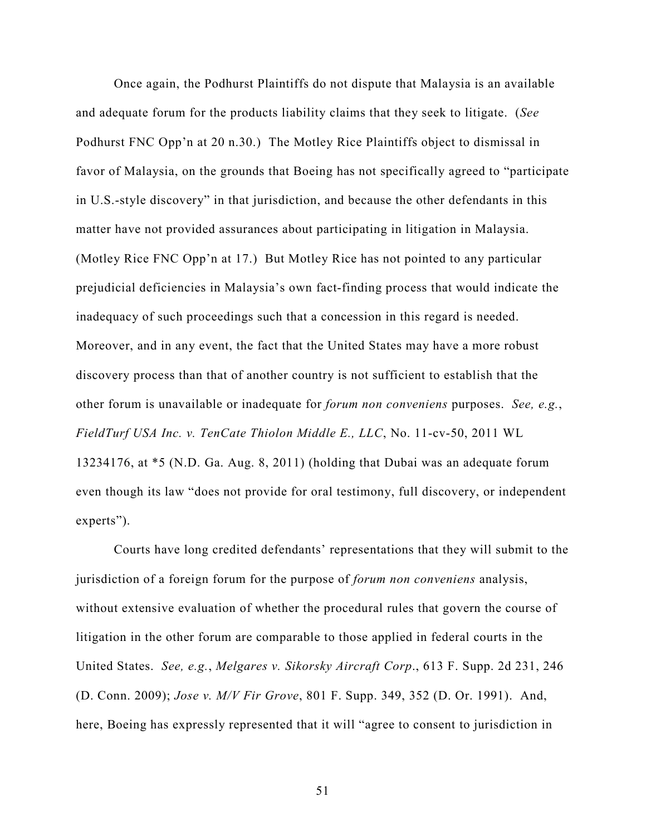Once again, the Podhurst Plaintiffs do not dispute that Malaysia is an available and adequate forum for the products liability claims that they seek to litigate. (*See*  Podhurst FNC Opp'n at 20 n.30.) The Motley Rice Plaintiffs object to dismissal in favor of Malaysia, on the grounds that Boeing has not specifically agreed to "participate in U.S.-style discovery" in that jurisdiction, and because the other defendants in this matter have not provided assurances about participating in litigation in Malaysia. (Motley Rice FNC Opp'n at 17.) But Motley Rice has not pointed to any particular prejudicial deficiencies in Malaysia's own fact-finding process that would indicate the inadequacy of such proceedings such that a concession in this regard is needed. Moreover, and in any event, the fact that the United States may have a more robust discovery process than that of another country is not sufficient to establish that the other forum is unavailable or inadequate for *forum non conveniens* purposes. *See, e.g.*, *FieldTurf USA Inc. v. TenCate Thiolon Middle E., LLC*, No. 11-cv-50, 2011 WL 13234176, at \*5 (N.D. Ga. Aug. 8, 2011) (holding that Dubai was an adequate forum even though its law "does not provide for oral testimony, full discovery, or independent experts").

Courts have long credited defendants' representations that they will submit to the jurisdiction of a foreign forum for the purpose of *forum non conveniens* analysis, without extensive evaluation of whether the procedural rules that govern the course of litigation in the other forum are comparable to those applied in federal courts in the United States. *See, e.g.*, *Melgares v. Sikorsky Aircraft Corp*., 613 F. Supp. 2d 231, 246 (D. Conn. 2009); *Jose v. M/V Fir Grove*, 801 F. Supp. 349, 352 (D. Or. 1991). And, here, Boeing has expressly represented that it will "agree to consent to jurisdiction in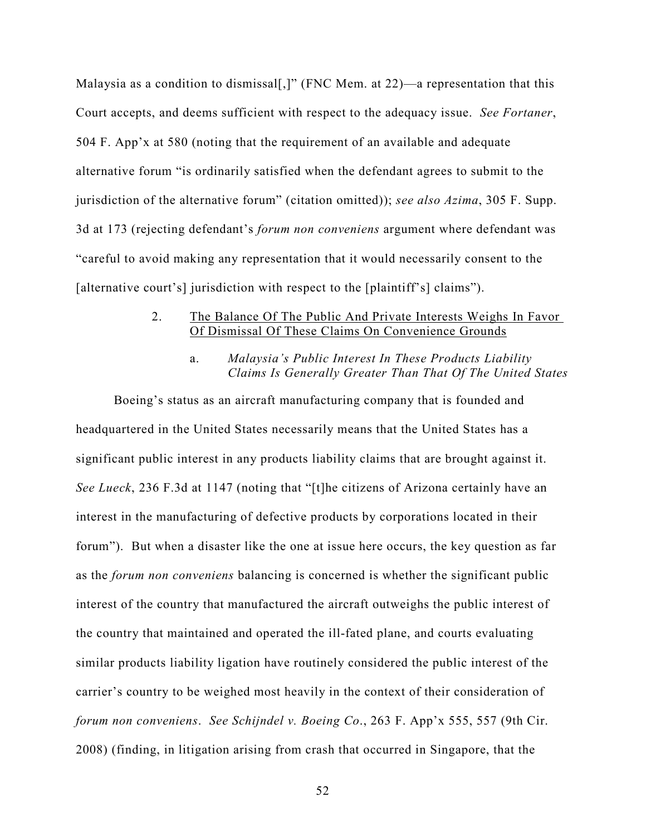Malaysia as a condition to dismissal[,]" (FNC Mem. at 22)—a representation that this Court accepts, and deems sufficient with respect to the adequacy issue. *See Fortaner*, 504 F. App'x at 580 (noting that the requirement of an available and adequate alternative forum "is ordinarily satisfied when the defendant agrees to submit to the jurisdiction of the alternative forum" (citation omitted)); *see also Azima*, 305 F. Supp. 3d at 173 (rejecting defendant's *forum non conveniens* argument where defendant was "careful to avoid making any representation that it would necessarily consent to the [alternative court's] jurisdiction with respect to the [plaintiff's] claims").

## 2. The Balance Of The Public And Private Interests Weighs In Favor Of Dismissal Of These Claims On Convenience Grounds

a. *Malaysia's Public Interest In These Products Liability Claims Is Generally Greater Than That Of The United States* 

Boeing's status as an aircraft manufacturing company that is founded and headquartered in the United States necessarily means that the United States has a significant public interest in any products liability claims that are brought against it. *See Lueck*, 236 F.3d at 1147 (noting that "[t]he citizens of Arizona certainly have an interest in the manufacturing of defective products by corporations located in their forum"). But when a disaster like the one at issue here occurs, the key question as far as the *forum non conveniens* balancing is concerned is whether the significant public interest of the country that manufactured the aircraft outweighs the public interest of the country that maintained and operated the ill-fated plane, and courts evaluating similar products liability ligation have routinely considered the public interest of the carrier's country to be weighed most heavily in the context of their consideration of *forum non conveniens*. *See Schijndel v. Boeing Co*., 263 F. App'x 555, 557 (9th Cir. 2008) (finding, in litigation arising from crash that occurred in Singapore, that the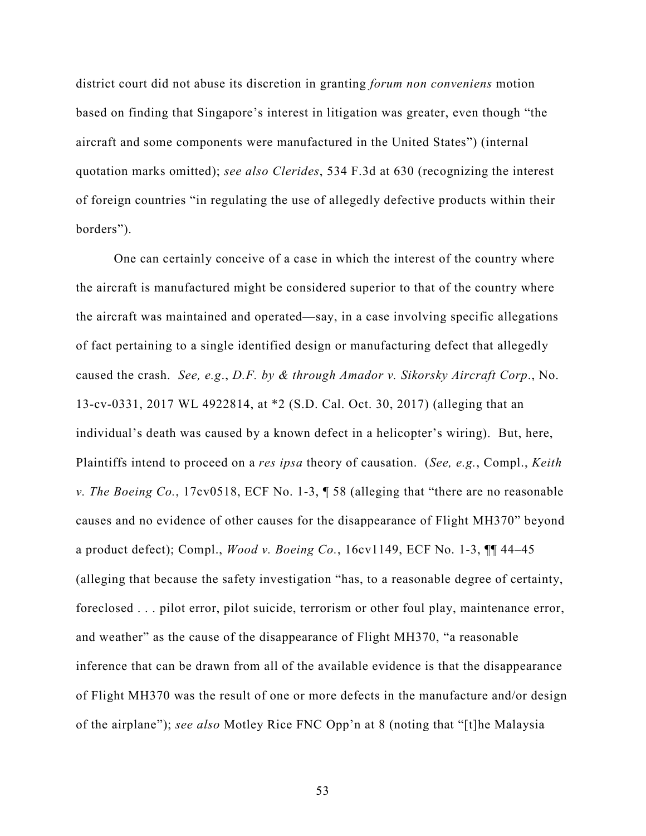district court did not abuse its discretion in granting *forum non conveniens* motion based on finding that Singapore's interest in litigation was greater, even though "the aircraft and some components were manufactured in the United States") (internal quotation marks omitted); *see also Clerides*, 534 F.3d at 630 (recognizing the interest of foreign countries "in regulating the use of allegedly defective products within their borders").

One can certainly conceive of a case in which the interest of the country where the aircraft is manufactured might be considered superior to that of the country where the aircraft was maintained and operated—say, in a case involving specific allegations of fact pertaining to a single identified design or manufacturing defect that allegedly caused the crash. *See, e.g*., *D.F. by & through Amador v. Sikorsky Aircraft Corp*., No. 13-cv-0331, 2017 WL 4922814, at \*2 (S.D. Cal. Oct. 30, 2017) (alleging that an individual's death was caused by a known defect in a helicopter's wiring). But, here, Plaintiffs intend to proceed on a *res ipsa* theory of causation. (*See, e.g.*, Compl., *Keith v. The Boeing Co.*, 17cv0518, ECF No. 1-3, ¶ 58 (alleging that "there are no reasonable causes and no evidence of other causes for the disappearance of Flight MH370" beyond a product defect); Compl., *Wood v. Boeing Co.*, 16cv1149, ECF No. 1-3, ¶¶ 44–45 (alleging that because the safety investigation "has, to a reasonable degree of certainty, foreclosed . . . pilot error, pilot suicide, terrorism or other foul play, maintenance error, and weather" as the cause of the disappearance of Flight MH370, "a reasonable inference that can be drawn from all of the available evidence is that the disappearance of Flight MH370 was the result of one or more defects in the manufacture and/or design of the airplane"); *see also* Motley Rice FNC Opp'n at 8 (noting that "[t]he Malaysia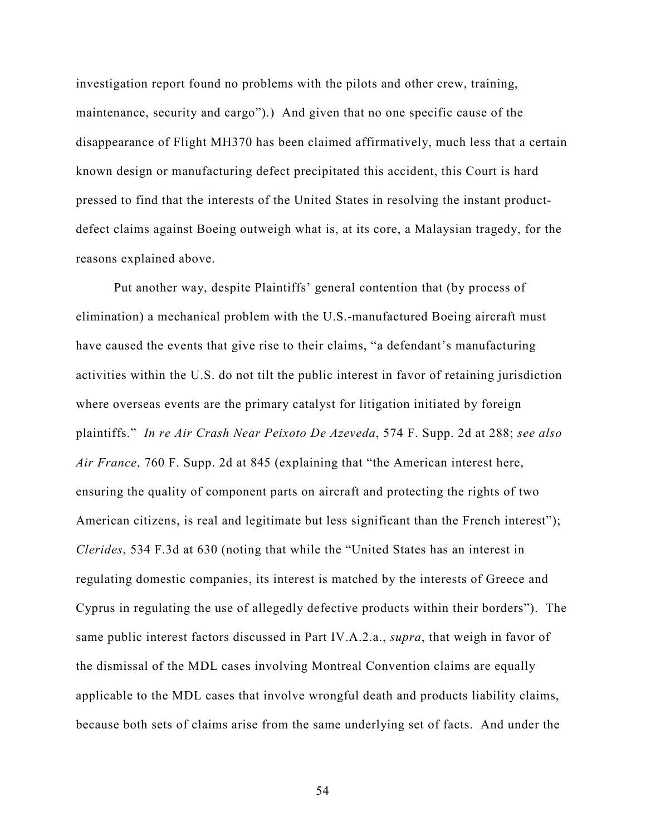investigation report found no problems with the pilots and other crew, training, maintenance, security and cargo").) And given that no one specific cause of the disappearance of Flight MH370 has been claimed affirmatively, much less that a certain known design or manufacturing defect precipitated this accident, this Court is hard pressed to find that the interests of the United States in resolving the instant productdefect claims against Boeing outweigh what is, at its core, a Malaysian tragedy, for the reasons explained above.

Put another way, despite Plaintiffs' general contention that (by process of elimination) a mechanical problem with the U.S.-manufactured Boeing aircraft must have caused the events that give rise to their claims, "a defendant's manufacturing activities within the U.S. do not tilt the public interest in favor of retaining jurisdiction where overseas events are the primary catalyst for litigation initiated by foreign plaintiffs." *In re Air Crash Near Peixoto De Azeveda*, 574 F. Supp. 2d at 288; *see also Air France*, 760 F. Supp. 2d at 845 (explaining that "the American interest here, ensuring the quality of component parts on aircraft and protecting the rights of two American citizens, is real and legitimate but less significant than the French interest"); *Clerides*, 534 F.3d at 630 (noting that while the "United States has an interest in regulating domestic companies, its interest is matched by the interests of Greece and Cyprus in regulating the use of allegedly defective products within their borders"). The same public interest factors discussed in Part IV.A.2.a., *supra*, that weigh in favor of the dismissal of the MDL cases involving Montreal Convention claims are equally applicable to the MDL cases that involve wrongful death and products liability claims, because both sets of claims arise from the same underlying set of facts. And under the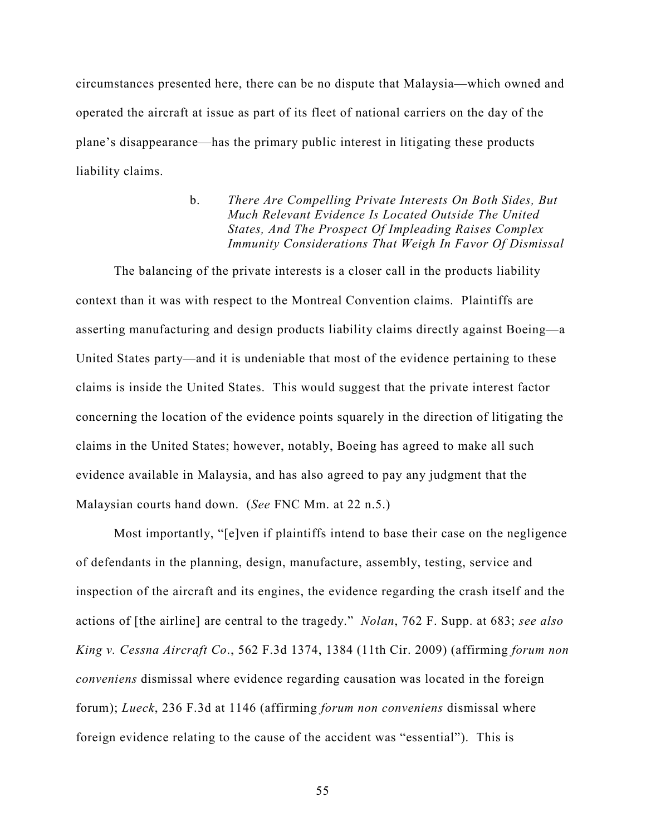circumstances presented here, there can be no dispute that Malaysia—which owned and operated the aircraft at issue as part of its fleet of national carriers on the day of the plane's disappearance—has the primary public interest in litigating these products liability claims.

> b. *There Are Compelling Private Interests On Both Sides, But Much Relevant Evidence Is Located Outside The United States, And The Prospect Of Impleading Raises Complex Immunity Considerations That Weigh In Favor Of Dismissal*

The balancing of the private interests is a closer call in the products liability context than it was with respect to the Montreal Convention claims. Plaintiffs are asserting manufacturing and design products liability claims directly against Boeing—a United States party—and it is undeniable that most of the evidence pertaining to these claims is inside the United States. This would suggest that the private interest factor concerning the location of the evidence points squarely in the direction of litigating the claims in the United States; however, notably, Boeing has agreed to make all such evidence available in Malaysia, and has also agreed to pay any judgment that the Malaysian courts hand down. (*See* FNC Mm. at 22 n.5.)

Most importantly, "[e]ven if plaintiffs intend to base their case on the negligence of defendants in the planning, design, manufacture, assembly, testing, service and inspection of the aircraft and its engines, the evidence regarding the crash itself and the actions of [the airline] are central to the tragedy." *Nolan*, 762 F. Supp. at 683; *see also King v. Cessna Aircraft Co*., 562 F.3d 1374, 1384 (11th Cir. 2009) (affirming *forum non conveniens* dismissal where evidence regarding causation was located in the foreign forum); *Lueck*, 236 F.3d at 1146 (affirming *forum non conveniens* dismissal where foreign evidence relating to the cause of the accident was "essential"). This is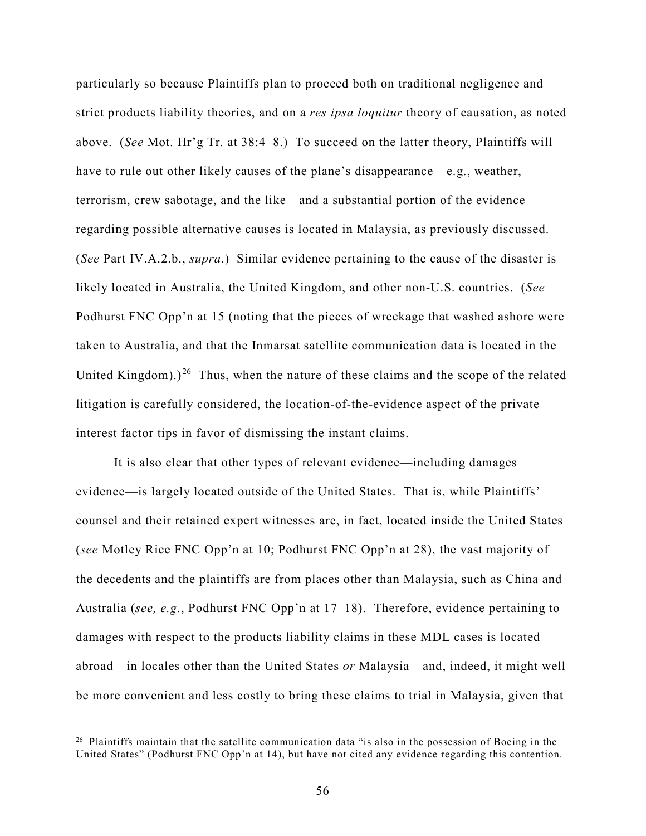particularly so because Plaintiffs plan to proceed both on traditional negligence and strict products liability theories, and on a *res ipsa loquitur* theory of causation, as noted above. (*See* Mot. Hr'g Tr. at 38:4–8.) To succeed on the latter theory, Plaintiffs will have to rule out other likely causes of the plane's disappearance—e.g., weather, terrorism, crew sabotage, and the like—and a substantial portion of the evidence regarding possible alternative causes is located in Malaysia, as previously discussed. (*See* Part IV.A.2.b., *supra*.) Similar evidence pertaining to the cause of the disaster is likely located in Australia, the United Kingdom, and other non-U.S. countries. (*See*  Podhurst FNC Opp'n at 15 (noting that the pieces of wreckage that washed ashore were taken to Australia, and that the Inmarsat satellite communication data is located in the United Kingdom).)<sup>[26](#page-55-0)</sup> Thus, when the nature of these claims and the scope of the related litigation is carefully considered, the location-of-the-evidence aspect of the private interest factor tips in favor of dismissing the instant claims.

It is also clear that other types of relevant evidence—including damages evidence—is largely located outside of the United States. That is, while Plaintiffs' counsel and their retained expert witnesses are, in fact, located inside the United States (*see* Motley Rice FNC Opp'n at 10; Podhurst FNC Opp'n at 28), the vast majority of the decedents and the plaintiffs are from places other than Malaysia, such as China and Australia (*see, e.g*., Podhurst FNC Opp'n at 17–18). Therefore, evidence pertaining to damages with respect to the products liability claims in these MDL cases is located abroad—in locales other than the United States *or* Malaysia—and, indeed, it might well be more convenient and less costly to bring these claims to trial in Malaysia, given that

<span id="page-55-0"></span><sup>&</sup>lt;sup>26</sup> Plaintiffs maintain that the satellite communication data "is also in the possession of Boeing in the United States" (Podhurst FNC Opp'n at 14), but have not cited any evidence regarding this contention.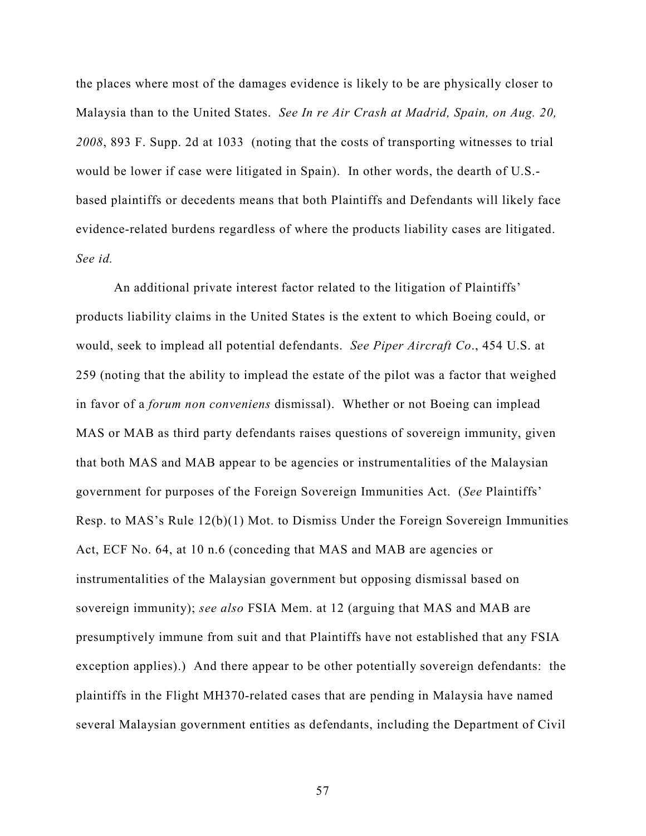the places where most of the damages evidence is likely to be are physically closer to Malaysia than to the United States. *See In re Air Crash at Madrid, Spain, on Aug. 20, 2008*, 893 F. Supp. 2d at 1033 (noting that the costs of transporting witnesses to trial would be lower if case were litigated in Spain). In other words, the dearth of U.S. based plaintiffs or decedents means that both Plaintiffs and Defendants will likely face evidence-related burdens regardless of where the products liability cases are litigated. *See id.*

An additional private interest factor related to the litigation of Plaintiffs' products liability claims in the United States is the extent to which Boeing could, or would, seek to implead all potential defendants. *See Piper Aircraft Co*., 454 U.S. at 259 (noting that the ability to implead the estate of the pilot was a factor that weighed in favor of a *forum non conveniens* dismissal). Whether or not Boeing can implead MAS or MAB as third party defendants raises questions of sovereign immunity, given that both MAS and MAB appear to be agencies or instrumentalities of the Malaysian government for purposes of the Foreign Sovereign Immunities Act. (*See* Plaintiffs' Resp. to MAS's Rule 12(b)(1) Mot. to Dismiss Under the Foreign Sovereign Immunities Act, ECF No. 64, at 10 n.6 (conceding that MAS and MAB are agencies or instrumentalities of the Malaysian government but opposing dismissal based on sovereign immunity); *see also* FSIA Mem. at 12 (arguing that MAS and MAB are presumptively immune from suit and that Plaintiffs have not established that any FSIA exception applies).) And there appear to be other potentially sovereign defendants: the plaintiffs in the Flight MH370-related cases that are pending in Malaysia have named several Malaysian government entities as defendants, including the Department of Civil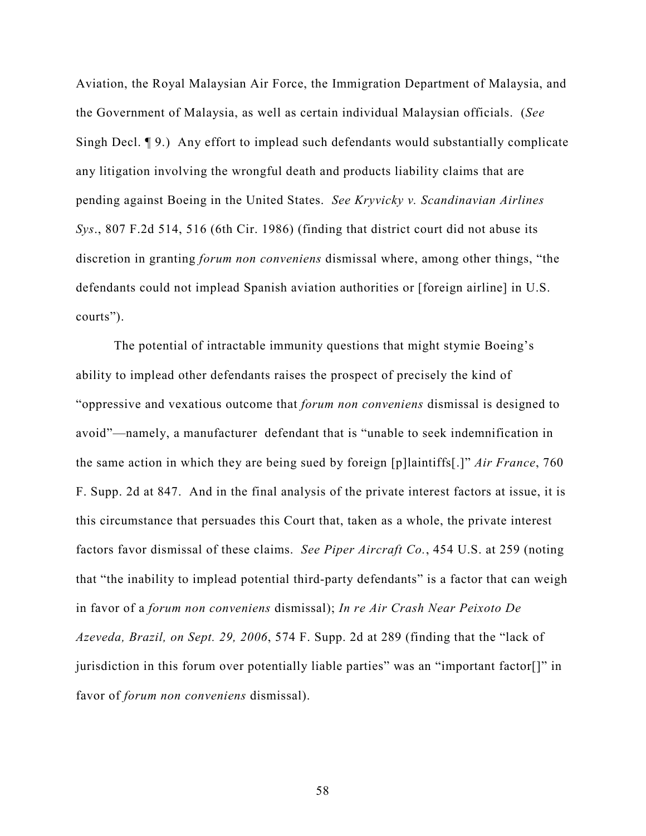Aviation, the Royal Malaysian Air Force, the Immigration Department of Malaysia, and the Government of Malaysia, as well as certain individual Malaysian officials. (*See*  Singh Decl. ¶ 9.) Any effort to implead such defendants would substantially complicate any litigation involving the wrongful death and products liability claims that are pending against Boeing in the United States. *See Kryvicky v. Scandinavian Airlines Sys*., 807 F.2d 514, 516 (6th Cir. 1986) (finding that district court did not abuse its discretion in granting *forum non conveniens* dismissal where, among other things, "the defendants could not implead Spanish aviation authorities or [foreign airline] in U.S. courts").

The potential of intractable immunity questions that might stymie Boeing's ability to implead other defendants raises the prospect of precisely the kind of "oppressive and vexatious outcome that *forum non conveniens* dismissal is designed to avoid"—namely, a manufacturer defendant that is "unable to seek indemnification in the same action in which they are being sued by foreign [p]laintiffs[.]" *Air France*, 760 F. Supp. 2d at 847. And in the final analysis of the private interest factors at issue, it is this circumstance that persuades this Court that, taken as a whole, the private interest factors favor dismissal of these claims. *See Piper Aircraft Co.*, 454 U.S. at 259 (noting that "the inability to implead potential third-party defendants" is a factor that can weigh in favor of a *forum non conveniens* dismissal); *In re Air Crash Near Peixoto De Azeveda, Brazil, on Sept. 29, 2006*, 574 F. Supp. 2d at 289 (finding that the "lack of jurisdiction in this forum over potentially liable parties" was an "important factor[]" in favor of *forum non conveniens* dismissal).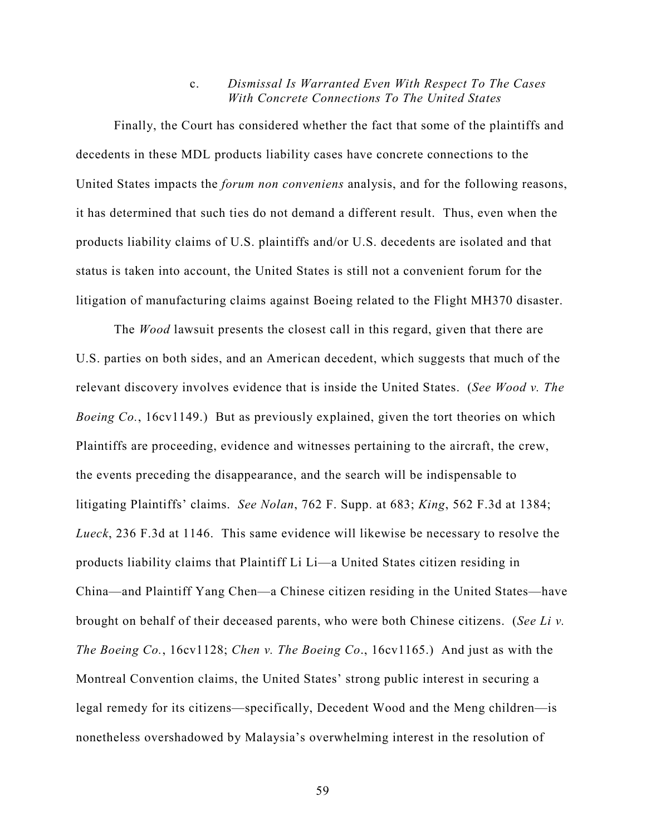### c. *Dismissal Is Warranted Even With Respect To The Cases With Concrete Connections To The United States*

Finally, the Court has considered whether the fact that some of the plaintiffs and decedents in these MDL products liability cases have concrete connections to the United States impacts the *forum non conveniens* analysis, and for the following reasons, it has determined that such ties do not demand a different result. Thus, even when the products liability claims of U.S. plaintiffs and/or U.S. decedents are isolated and that status is taken into account, the United States is still not a convenient forum for the litigation of manufacturing claims against Boeing related to the Flight MH370 disaster.

The *Wood* lawsuit presents the closest call in this regard, given that there are U.S. parties on both sides, and an American decedent, which suggests that much of the relevant discovery involves evidence that is inside the United States. (*See Wood v. The Boeing Co.*, 16cv1149.) But as previously explained, given the tort theories on which Plaintiffs are proceeding, evidence and witnesses pertaining to the aircraft, the crew, the events preceding the disappearance, and the search will be indispensable to litigating Plaintiffs' claims. *See Nolan*, 762 F. Supp. at 683; *King*, 562 F.3d at 1384; *Lueck*, 236 F.3d at 1146. This same evidence will likewise be necessary to resolve the products liability claims that Plaintiff Li Li—a United States citizen residing in China—and Plaintiff Yang Chen—a Chinese citizen residing in the United States—have brought on behalf of their deceased parents, who were both Chinese citizens. (*See Li v. The Boeing Co.*, 16cv1128; *Chen v. The Boeing Co*., 16cv1165.) And just as with the Montreal Convention claims, the United States' strong public interest in securing a legal remedy for its citizens—specifically, Decedent Wood and the Meng children—is nonetheless overshadowed by Malaysia's overwhelming interest in the resolution of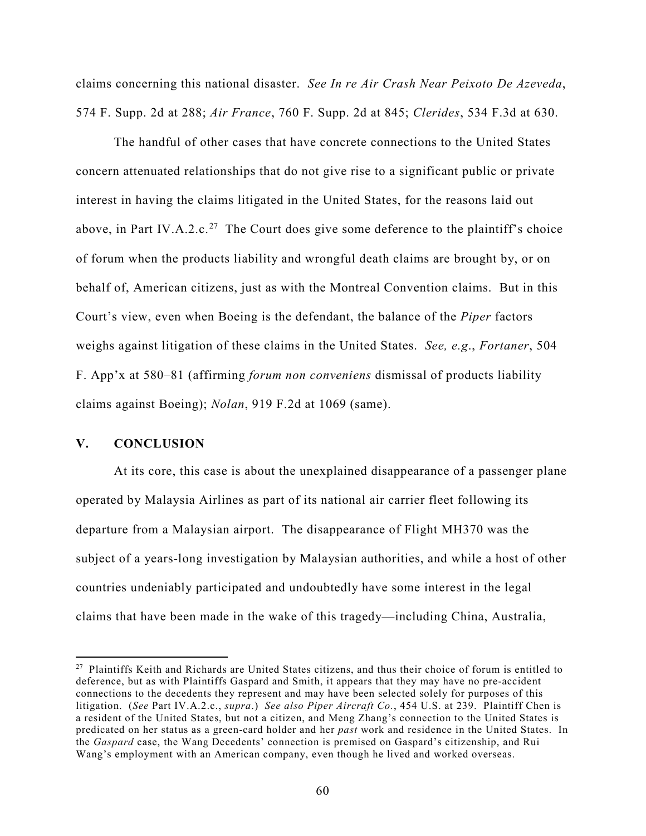claims concerning this national disaster. *See In re Air Crash Near Peixoto De Azeveda*, 574 F. Supp. 2d at 288; *Air France*, 760 F. Supp. 2d at 845; *Clerides*, 534 F.3d at 630.

The handful of other cases that have concrete connections to the United States concern attenuated relationships that do not give rise to a significant public or private interest in having the claims litigated in the United States, for the reasons laid out above, in Part IV.A.2.c.<sup>[27](#page-59-0)</sup> The Court does give some deference to the plaintiff's choice of forum when the products liability and wrongful death claims are brought by, or on behalf of, American citizens, just as with the Montreal Convention claims. But in this Court's view, even when Boeing is the defendant, the balance of the *Piper* factors weighs against litigation of these claims in the United States. *See, e.g*., *Fortaner*, 504 F. App'x at 580–81 (affirming *forum non conveniens* dismissal of products liability claims against Boeing); *Nolan*, 919 F.2d at 1069 (same).

## **V. CONCLUSION**

-

At its core, this case is about the unexplained disappearance of a passenger plane operated by Malaysia Airlines as part of its national air carrier fleet following its departure from a Malaysian airport. The disappearance of Flight MH370 was the subject of a years-long investigation by Malaysian authorities, and while a host of other countries undeniably participated and undoubtedly have some interest in the legal claims that have been made in the wake of this tragedy—including China, Australia,

<span id="page-59-0"></span><sup>&</sup>lt;sup>27</sup> Plaintiffs Keith and Richards are United States citizens, and thus their choice of forum is entitled to deference, but as with Plaintiffs Gaspard and Smith, it appears that they may have no pre-accident connections to the decedents they represent and may have been selected solely for purposes of this litigation. (*See* Part IV.A.2.c., *supra*.) *See also Piper Aircraft Co.*, 454 U.S. at 239. Plaintiff Chen is a resident of the United States, but not a citizen, and Meng Zhang's connection to the United States is predicated on her status as a green-card holder and her *past* work and residence in the United States. In the *Gaspard* case, the Wang Decedents' connection is premised on Gaspard's citizenship, and Rui Wang's employment with an American company, even though he lived and worked overseas.